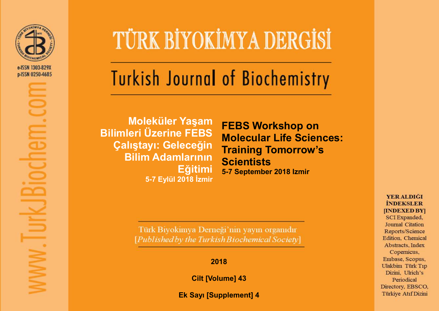

# TÜRK BİYOKİMYA DERGİSİ

# **Turkish Journal of Biochemistry**

**Moleküler Yaşam Bilimleri Üzerine FEBS Çalıştayı: Geleceğin Bilim Adamlarının Eğitimi 5-7 Eylül 2018 İzmir**

**FEBS Workshop on Molecular Life Sciences: Training Tomorrow's Scientists 5-7 September 2018 Izmir**

Türk Biyokimya Derneği'nin yayın organıdır [Published by the Turkish Biochemical Society]

**2018**

**Cilt [Volume] 43**

**Ek Sayı [Supplement] 4**

YER ALDIĞI **İNDEKSLER** [INDEXED BY] SCI Expanded, Journal Citation Reports/Science Edition, Chemical Abstracts, Index Copernicus, Embase, Scopus, Ulakbim Türk Tıp Dizini. Ulrich's Periodical Directory, EBSCO, Türkiye Atıf Dizini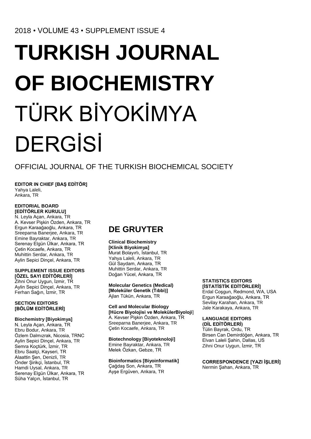# 2018 • VOLUME 43 • SUPPLEMENT ISSUE 4

# **TURKISH JOURNAL OF BIOCHEMISTRY** TÜRK BİYOKİMYA DERGİSİ

OFFICIAL JOURNAL OF THE TURKISH BIOCHEMICAL SOCIETY

**EDITOR IN CHIEF [BAŞ EDİTÖR]** Yahya Laleli, Ankara, TR

#### **EDITORIAL BOARD [EDİTÖRLER KURULU]**

N. Leyla Açan, Ankara, TR A. Kevser Pişkin Özden, Ankara, TR Ergun Karaağaoğlu, Ankara, TR Sreeparna Banerjee, Ankara, TR Emine Bayraktar, Ankara, TR Serenay Elgün Ülkar, Ankara, TR Çetin Kocaefe, Ankara, TR Muhittin Serdar, Ankara, TR Aylin Sepici Dinçel, Ankara, TR

# **SUPPLEMENT ISSUE EDITORS [ÖZEL SAYI EDİTÖRLERİ]**

Zihni Onur Uygun, İzmir, TR Aylin Sepici Dinçel, Ankara, TR Ferhan Sağın, İzmir, TR

## **SECTION EDITORS [BÖLÜM EDİTÖRLERİ]**

**Biochemistry [Biyokimya]** N. Leyla Açan, Ankara, TR Ebru Bodur, Ankara, TR Özlem Dalmızrak, Nicosia, TRNC Aylin Sepici Dinçel, Ankara, TR Semra Koçtürk, İzmir, TR Ebru Saatçi, Kayseri, TR Alaattin Şen, Denizli, TR Önder Şirikçi, İstanbul, TR Hamdi Uysal, Ankara, TR Serenay Elgün Ülkar, Ankara, TR Süha Yalçın, İstanbul, TR

# **DE GRUYTER**

#### **Clinical Biochemistry [Klinik Biyokimya]**

Murat Bolayırlı, İstanbul, TR Yahya Laleli, Ankara, TR Gül Saydam, Ankara, TR Muhittin Serdar, Ankara, TR Doğan Yücel, Ankara, TR

**Molecular Genetics (Medical) [Moleküler Genetik (Tıbbi)]** Ajlan Tükün, Ankara, TR

**Cell and Molecular Biology [Hücre Biyolojisi ve MolekülerBiyoloji**] A. Kevser Pişkin Özden, Ankara, TR Sreeparna Banerjee, Ankara, TR Çetin Kocaefe, Ankara, TR

**Biotechnology [Biyoteknoloji]** Emine Bayraktar, Ankara, TR Melek Özkan, Gebze, TR

**Bioinformatics [Biyoinformatik]** Çağdaş Son, Ankara, TR Ayşe Ergüven, Ankara, TR

# **STATISTICS EDITORS**

**[İSTATİSTİK EDİTÖRLERİ]**  Erdal Coşgun, Redmond, WA, USA Ergun Karaağaoğlu, Ankara, TR Sevilay Karahan, Ankara, TR Jale Karakaya, Ankara, TR

**LANGUAGE EDITORS** 

**(DİL EDİTÖRLERİ)**  Tülin Bayrak, Ordu, TR Birsen Can Demirdöğen, Ankara, TR Elvan Laleli Şahin, Dallas, US Zihni Onur Uygun, İzmir, TR

**CORRESPONDENCE [YAZI İŞLERİ]** Nermin Şahan, Ankara, TR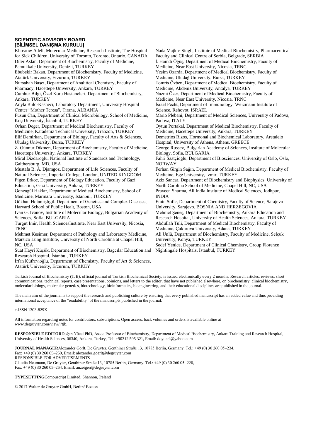#### **SCIENTIFIC ADVISORY BOARD [BİLİMSEL DANIŞMA KURULU]**

Khosrow Adeli, Molecular Medicine, Research Institute, The Hospital for Sick Children, University of Toronto, Toronto, Ontario, CANADA Diler Aslan, Department of Biochemistry, Faculty of Medicine, Pamukkale University, Denizli, TURKEY Ebubekir Bakan, Department of Biochemistry, Faculty of Medicine, Atatürk University, Erzurum, TURKEY Nursabah Başcı, Department of Analitical Chemistry, Faculty of Pharmacy, Hacettepe University, Ankara, TURKEY Cumhur Bilgi, Özel Koru Hastaneleri, Department of Biochemistry, Ankara, TURKEY Anyla Bulo-Kasneci, Laboratory Department, University Hospital Center "Mother Teresa", Tirana, ALBANIA Füsun Can, Department of Clinical Microbiology, School of Medicine, Koç University, İstanbul, TURKEY Orhan Değer, Department of Medical Biochemistry, Faculty of Medicine, Karadeniz Technical University, Trabzon, TURKEY Elif Demirkan, Department of Biology, Faculty of Arts & Sciences, Uludağ University, Bursa, TURKEY Z. Günnur Dikmen, Department of Biochemistry, Faculty of Medicine, Hacettepe University, Ankara, TURKEY Miral Dizdaroğlu, National Institute of Standards and Technology, Gaithersburg, MD, USA Mustafa B. A. Djamgoz, Department of Life Sciences, Faculty of Natural Sciences, Imperial College, London, UNITED KINGDOM Figen Erkoç, Department of Biology Education, Faculty of Gazi Education, Gazi University, Ankara, TURKEY Goncagül Haklar, Department of Medical Biochemistry, School of Medicine, Marmara University, İstanbul, TURKEY Gökhan Hotamişlıgil, Department of Genetics and Complex Diseases, Harvard School of Public Healt, Boston, USA Ivan G. Ivanov, Institute of Molecular Biology, Bulgarian Academy of Sciences, Sofia, BULGARIA Turgut İmir, Health SciencesInstitute, Near East University, Nicosia, **TRNC** Mehmet Kesimer, Department of Pathology and Laboratory Medicine, Marsico Lung Institute, University of North Carolina at Chapel Hill, NC, USA Nada Majkic-Singh, Institute of Medical Biochemistry, Pharmaceutical Padova, ITALY NORWAY INDIA

Suat Hayri Küçük, Department of Biochemistry, Bağcılar Education and Research Hospital, İstanbul, TURKEY

İrfan Küfrevioğlu, Department of Chemistry, Faculty of Art & Sciences, Atatürk University, Erzurum, TURKEY

Yeşim Özarda, Department of Medical Biochemistry, Faculty of Medicine, Uludağ University, Bursa, TURKEY Tomris Özben, Department of Medical Biochemistry, Faculty of Medicine, Akdeniz University, Antalya, TURKEY Nazmi Özer, Department of Medical Biochemistry, Faculty of Medicine, Near East University, Nicosia, TRNC İsrael Pecht, Department of Immunology, Weizmann Institute of Science, Rehovot, ISRAEL Mario Plebani, Department of Medical Sciences, University of Padova, Oytun Portakal, Department of Medical Biochemistry, Faculty of Medicine, Hacettepe University, Ankara, TURKEY Demetrios Rizos, Hormonal and Biochemical Laboratory, Aretaieio Hospital, University of Athens, Athens, GREECE George Russev, Bulgarian Academy of Sciences, Institute of Molecular Biology, Sofia, BULGARIA Fahri Saatçioğlu, Department of Biosciences, University of Oslo, Oslo, Ferhan Girgin Sağın, Department of Medical Biochemistry, Faculty of Medicine, Ege University, İzmir, TURKEY Aziz Sancar, Department of Biochemistry and Biophysics, University of North Carolina School of Medicine, Chapel Hill, NC, USA Praveen Sharma, All India Institute of Medical Sciences, Jodhpur, Emin Sofic, Department of Chemistry, Faculty of Science, Sarajevo University, Sarajevo, BOSNIA AND HERZEGOVIA Mehmet Şeneş, Department of Biochemistry, Ankara Education and Research Hospital, University of Health Sciences, Ankara, TURKEY Abdullah Tuli, Department of Medical Biochemistry, Faculty of Medicine, Çukurova University, Adana, TURKEY Ali Ünlü, Department of Biochemistry, Faculty of Medicine, Selçuk University, Konya, TURKEY

Sedef Yenice, Department of Clinical Chemistry, Group Florence Nightingale Hospitals, İstanbul, TURKEY

Turkish Journal of Biochemistry (TJB), official journal of Turkish Biochemical Society, is issued electronically every 2 months. Research articles, reviews, short communications, technical reports, case presentations, opinions, and letters to the editor, that have not published elsewhere, on biochemistry, clinical biochemistry, molecular biology, molecular genetics, biotechnology, bioinformatics, bioengineering, and their educational disciplines are published in the journal.

The main aim of the journal is to support the research and publishing culture by ensuring that every published manuscript has an added value and thus providing international acceptance of the "readability" of the manuscripts published in the journal.

#### e-ISSN 1303-829X

All information regarding notes for contributors, subscriptions, Open access, back volumes and orders is available online at www.degruyter.com/view/j/tjb.

**RESPONSIBLE EDITOR**Doğan Yücel PhD, Assoc Professor of Biochemistry, Department of Medical Biochemistry, Ankara Training and Research Hospital, University of Health Sciences, 06340, Ankara, Turkey, Tel: +90312 595 321, Email: doyucel@yahoo.com

**JOURNAL MANAGER**Alexander Görlt, De Gruyter, Genthiner Straße 13, 10785 Berlin, Germany. Tel.: +49 (0) 30 260 05–234, Fax: +49 (0) 30 260 05–250, Email: alexander.goerlt@degruyter.com RESPONSIBLE FOR ADVERTISEMENTS Claudia Neumann, De Gruyter, Genthiner Straße 13, 10785 Berlin, Germany. Tel.: +49 (0) 30 260 05–226, Fax: +49 (0) 30 260 05–264, Email: anzeigen@degruyter.com

#### **TYPESETTING**Compuscript Limited, Shannon, Ireland

© 2017 Walter de Gruyter GmbH, Berlin/ Boston

Faculty and Clinical Centre of Serbia, Belgrade, SERBIA İ. Hamdi Öğüş, Department of Medical Biochemistry, Faculty of

Medicine, Near East University, Nicosia, TRNC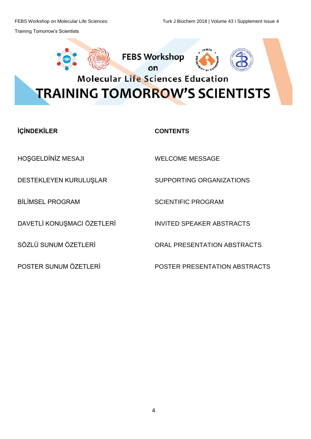

| <b>İÇİNDEKİLER</b>         | <b>CONTENTS</b>                  |  |
|----------------------------|----------------------------------|--|
| <b>HOSGELDINIZ MESAJI</b>  | <b>WELCOME MESSAGE</b>           |  |
| DESTEKLEYEN KURULUŞLAR     | SUPPORTING ORGANIZATIONS         |  |
| <b>BİLİMSEL PROGRAM</b>    | <b>SCIENTIFIC PROGRAM</b>        |  |
| DAVETLİ KONUŞMACI ÖZETLERİ | <b>INVITED SPEAKER ABSTRACTS</b> |  |
| SÖZLÜ SUNUM ÖZETLERİ       | ORAL PRESENTATION ABSTRACTS      |  |
| POSTER SUNUM ÖZETLERİ      | POSTER PRESENTATION ABSTRACTS    |  |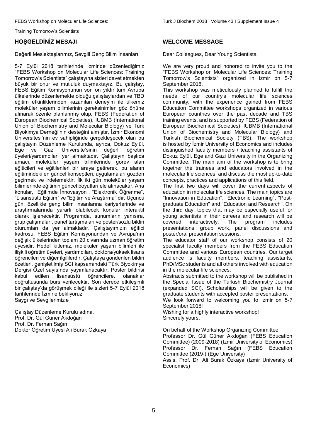# **HOŞGELDİNİZ MESAJI WELCOME MESSAGE**

Değerli Meslektaşlarımız, Sevgili Genç Bilim İnsanları,

5-7 Eylül 2018 tarihlerinde İzmir'de düzenlediğimiz "FEBS Workshop on Molecular Life Sciences: Training Tomorrow's Scientists" çalıştayına sizleri davet etmekten büyük bir onur ve mutluluk duymaktayız. Bu çalıştay, FEBS Eğitim Komisyonunun son on yıldır tüm Avrupa ülkelerinde düzenlemekte olduğu çalıştaylardan ve TBD eğitim etkinliklerinden kazanılan deneyim ile ülkemiz moleküler yaşam bilimlerinin gereksinimleri göz önüne alınarak özenle planlanmış olup, FEBS (Federation of European Biochemical Societies), IUBMB (International Union of Biochemistry and Molecular Biology) ve Türk Biyokimya Derneği'nin desteğini almıştır. İzmir Ekonomi Üniversitesi'nin ev sahipliğinde gerçekleşecek olan bu çalıştayın Düzenleme Kurulunda, ayrıca, Dokuz Eylül, Ege ve Gazi Üniversite'sinin değerli öğretim üyeleri/yardımcıları yer almaktadır. Çalıştayın başlıca amacı, moleküler yaşam bilimlerinde görev alan eğiticileri ve eğitilenleri bir araya getirerek, bu alanın eğitimindeki en güncel konseptleri, uygulamaları gözden geçirmek ve irdelemektir. İlk iki gün moleküler yaşam bilimlerinde eğitimin güncel boyutları ele alınacaktır. Ana konular, "Eğitimde İnnovasyon", "Elektronik Öğrenme", "Lisansüstü Eğitim" ve "Eğitim ve Araştırma" dır. Üçüncü gün, özellikle genç bilim insanlarına kariyerlerinde ve araştırmalarında yararlı olabilecek konular interaktif olarak işlenecektir. Programda, sunumların yanısıra, grup çalışmaları, panel tartışmaları ve poster/sözlü bildiri oturumları da yer almaktadır. Çalıştayımızın eğitici kadrosu, FEBS Eğitim Komisyonundan ve Avrupa'nın değişik ülkelerinden toplam 20 civarında uzman öğretim üyesidir. Hedef kitlemiz, moleküler yaşam bilimleri ile ilişkili öğretim üyeleri, yardımcıları, doktora/yüksek lisans öğrencileri ve diğer ilgililerdir. Çalıştaya gönderilen bildiri özetleri, genişletilmiş SCI kapsamındaki Türk Biyokimya Dergisi Özel sayısında yayımlanacaktır. Poster bildirisi kabul edilen lisansüstü öğrencilere, olanaklar doğrultusunda burs verilecektir. Son derece etkileşimli bir çalıştay'da görüşmek dileği ile sizleri 5-7 Eylül 2018 tarihlerinde İzmir'e bekliyoruz. Saygı ve Sevgilerimizle

Çalıştay Düzenleme Kurulu adına, Prof. Dr. Gül Güner Akdoğan Prof. Dr. Ferhan Sağın Doktor Öğretim Üyesi Ali Burak Özkaya

Dear Colleagues, Dear Young Scientists,

We are very proud and honored to invite you to the "FEBS Workshop on Molecular Life Sciences: Training Tomorrow's Scientists" organized in Izmir on 5-7 September 2018.

This workshop was meticulously planned to fulfill the needs of our country's molecular life sciences community, with the experience gained from FEBS Education Committee workshops organized in various European countries over the past decade and TBS training events, and is supported by FEBS (Federation of European Biochemical Societies), IUBMB (International Union of Biochemistry and Molecular Biology) and Turkish Biochemical Society (TBS). The workshop is hosted by İzmir University of Economics and includes distinguished faculty members / teaching assistants of Dokuz Eylül, Ege and Gazi University in the Organizing Committee. The main aim of the workshop is to bring together the trainees and educators involved in the molecular life sciences, and discuss the most up-to-date concepts, practices and applications of this field.

The first two days will cover the current aspects of education in molecular life sciences. The main topics are "Innovation in Education", "Electronic Learning", "Postgraduate Education" and "Education and Research". On the third day, topics that may be especially useful for young scientists in their careers and research will be covered interactively. The program includes presentations, group work, panel discussions and poster/oral presentation sessions.

The educator staff of our workshop consists of 20 specialist faculty members from the FEBS Education Committee and various European countries. Our target audience is faculty members, teaching assistants, PhD/MSc students and all others involved with education in the molecular life sciences.

Abstracts submitted to the workshop will be published in the Special Issue of the Turkish Biochemistry Journal (expanded SCI). Scholarships will be given to the graduate students with accepted poster presentations. We look forward to welcoming you to İzmir on 5-7

September 2018!

Wishing for a highly interactive workshop! Sincerely yours,

On behalf of the Workshop Organizing Committee, Professor Dr. Gül Güner Akdoğan (FEBS Education Committee) (2009-2018) (Izmir University of Economics) Professor Dr. Ferhan Sağın (FEBS Education Committee (2019-) (Ege University) Assis. Prof. Dr. Ali Burak Özkaya (Izmir University of Economics)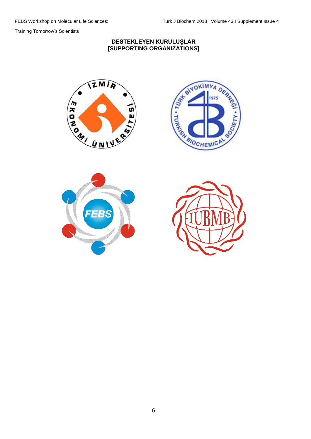# **DESTEKLEYEN KURULUŞLAR [SUPPORTING ORGANIZATIONS]**







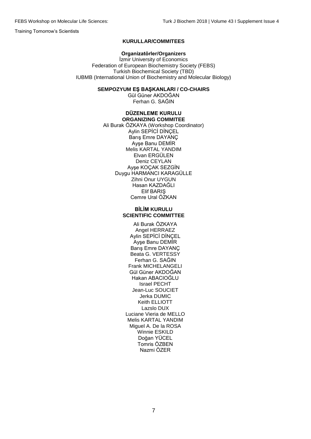# **KURULLAR/COMMITEES**

# **Organizatörler/Organizers**

İzmir University of Economics Federation of European Biochemistry Society (FEBS) Turkish Biochemical Society (TBD) IUBMB (International Union of Biochemistry and Molecular Biology)

## **SEMPOZYUM EŞ BAŞKANLARI / CO-CHAIRS**

Gül Güner AKDOĞAN Ferhan G. SAĞIN

### **DÜZENLEME KURULU ORGANIZING COMMITEE**

Ali Burak ÖZKAYA (Workshop Coordinator) Aylin SEPİCİ DİNÇEL Barış Emre DAYANÇ Ayşe Banu DEMİR Melis KARTAL YANDIM Elvan ERGÜLEN Deniz CEYLAN Ayşe KOÇAK SEZGİN Duygu HARMANCI KARAGÜLLE Zihni Onur UYGUN Hasan KAZDAĞLI Elif BARIŞ Cemre Ural ÖZKAN

# **BİLİM KURULU SCIENTIFIC COMMITTEE**

Ali Burak ÖZKAYA Angel HERRAEZ Aylin SEPİCİ DİNÇEL Ayşe Banu DEMİR Barış Emre DAYANÇ Beata G. VERTESSY Ferhan G. SAĞIN Frank MICHELANGELI Gül Güner AKDOĞAN Hakan ABACIOĞLU Israel PECHT Jean-Luc SOUCIET Jerka DUMIC Keith ELLIOTT Lazslo DUX Luciane Vieria de MELLO Melis KARTAL YANDIM Miguel A. De la ROSA Winnie ESKILD Doğan YÜCEL Tomris ÖZBEN Nazmi ÖZER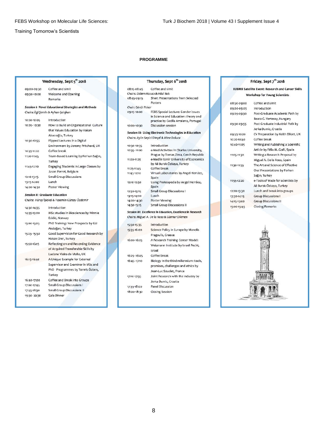### **PROGRAMME**

|                                                | Wednesday, Sept 5 <sup>th</sup> 2018                |  |  |
|------------------------------------------------|-----------------------------------------------------|--|--|
| 09:00-09:30                                    | Coffee and simit                                    |  |  |
| 09:30-10:00                                    | Welcome and Opening                                 |  |  |
|                                                | Remarks                                             |  |  |
|                                                | Session I: Novel Educational Strategies and Methods |  |  |
|                                                | Chairs: İlgi Şemin & Ayhan Çalışkan                 |  |  |
| 10:00-10:05                                    | Introduction                                        |  |  |
| 10:05-10:30                                    | How to Build an Organizational Culture              |  |  |
|                                                | that Values Education by Hakan                      |  |  |
|                                                | Abacıoğlu, Turkey                                   |  |  |
| 10:30-10:55                                    | Flipped Lectures in a Digital                       |  |  |
|                                                | Environment by Jeremy Pritchard, UK                 |  |  |
| 10:55-11:20                                    | Coffee break                                        |  |  |
| 11:20-11:45                                    | Team-Based Learning by Ferhan Sağın,                |  |  |
|                                                | Turkey                                              |  |  |
| 11:45-12:10                                    | Engaging Students in Large Classes by               |  |  |
|                                                | Jason Perret, Belgium                               |  |  |
| 12:10-13:15                                    | <b>Small Group Discussions</b>                      |  |  |
| 13:15-14:00                                    | Lunch                                               |  |  |
| 14:00-14:30                                    | Poster Viewing                                      |  |  |
|                                                | <b>Session II: Graduate Education</b>               |  |  |
| Chairs: Hüray İşlekel & Yasemin Gürsoy Özdemir |                                                     |  |  |
| 14:30-14:35                                    | Introduction                                        |  |  |
| 14:35-15:00                                    | MSc studies in Biosciences by Winnie                |  |  |
|                                                | Eskild, Norway                                      |  |  |
| 15:00-15:25                                    | PhD Training: New Prospects by Gül                  |  |  |
|                                                | Akdoğan, Turkey                                     |  |  |
| 15:25-15:50                                    | Good Supervision for Good Research by               |  |  |
|                                                | Hakan Orer, Turkey                                  |  |  |
| 15:50-16:15                                    | Reflecting on and Recording Evidence                |  |  |
|                                                | of Acquired Transferable Skills by                  |  |  |
|                                                | Luciane Vieira de Mello, UK                         |  |  |
| 16:15-16:40                                    | A Unique Example for External                       |  |  |
|                                                | Supervisor and Examiner in MSc and                  |  |  |
|                                                | PhD Programmes by Tomris Özben,                     |  |  |
|                                                | Turkey                                              |  |  |
| 16:40-17:00                                    | Coffee and Break into Groups                        |  |  |
| 17:00-17:45                                    | <b>Small Group Discussions I</b>                    |  |  |
| 17:45-18:30                                    | <b>Small Group Discussions II</b>                   |  |  |
| 19:30-22:30                                    | Gala Dinner                                         |  |  |
|                                                |                                                     |  |  |

#### Thursday, Sept  $6^{\rm th}$  2018 Coffee and simit 08:15-08:45 Chairs: Didem Kozacı & Hilal Batı 08:45-09:15 Short Presentations from Selected Posters Chair: Gönül Peker FEBS Special Lecture: Gender issues 09:15-10:00 in Science and Education: theory and practice by Cecilia Arraiano, Portugal 10:00-10:30 Discussion session Session III: Using Electronic Technologies in Education Chairs: Aylin Sepici Dinçel & Mine Doluca 10:30-10:35 Introduction 10:35-11:00 e-Med Activities in Charles University, Prague by Tomas Zima, Czech Republic 11:00-11:25 e-Med in Izmir University of Economics by Ali Burak Özkaya, Turkey 11:25-11:45 Coffee break

Virtual Laboratories by Angel Herráez, 11:45-12:10 Spain Using Proteopedia by Angel Herráez, 12:10-12:30 Spain 12:30-13:15 Small Group Discussions I 13:15-14:00 Lunch 14:00-14:30 Poster Viewing 14:30-15:15 Small Group Discussions II

Session IV: Excellence in Education, Excellence in Research Chairs: Miguel A. De la Rosa & Günnur Dikmen

| 15:30-15:35     | Introduction                            |
|-----------------|-----------------------------------------|
| 15:35-16:00     | Science Policy in Europe by Manolis     |
|                 | Fragoulis, Greece                       |
| 16:00-16:25     | A Research Training Center Model:       |
|                 | Weizmann Institute by Israel Pecht,     |
|                 | Israel                                  |
| $16:25 - 16:45$ | Coffee break                            |
| 16:45-17:10     | Biology in the third millennium: tools, |
|                 | promises, challenges and ethics by      |
|                 | Jean-Luc Souciet, France                |
| 17:10-17:35     | Joint Research with the Industry by     |
|                 | Jerka Dumic, Croatia                    |
| 17:35-18:00     | Panel Discussion                        |
| 18:00-18:30     | <b>Closing Session</b>                  |

#### Friday, Sept 7<sup>th</sup> 2018

# **IUBMB Satellite Event: Research and Career Skills**

| <b>Workshop for Young Scientists</b> |  |  |  |
|--------------------------------------|--|--|--|
|--------------------------------------|--|--|--|

| 08:30-09:00 | Coffee and simit                    |
|-------------|-------------------------------------|
| 09:00-09:05 | Introduction                        |
| 09:05-09:30 | Post-Graduate Academic Path by      |
|             | Beata G. Vertessy, Hungary          |
| 09:30-09:55 | Post-Graduate Industrial Path by    |
|             | Jerka Dumic, Croatia                |
| 09:55-10:20 | CV Preparation by Keith Elliott, UK |
| 10:20-10:40 | Coffee break                        |
| 10:40-11:05 | Writing and Publishing a Scientific |
|             | Article by Félix M. Goñi, Spain     |
| 11:05-11:30 | Writing a Research Proposal by      |
|             | Miguel A. De la Rosa, Spain         |
| 11:30-11:55 | The Art and Science of Effective    |
|             | Oral Presentations by Ferhan        |
|             | Sağın, Turkey                       |
| 11:55-12:20 | e-Tools of trade for scientists by  |
|             | Ali Burak Özkaya, Turkey            |
| 12:20-13:30 | Lunch and break into groups         |
| 13:30-14:15 | <b>Group Discussions I</b>          |
| 14:15-15:00 | <b>Group Discussions II</b>         |
| 15:00-15:45 | <b>Closing Remarks</b>              |
|             |                                     |

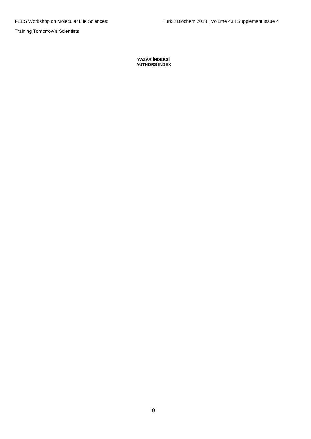**YAZAR İNDEKSİ AUTHORS INDEX**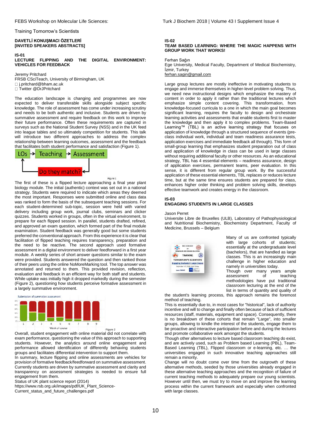#### **DAVETLİ KONUŞMACI ÖZETLERİ [INVITED SPEAKERS ABSTRACTS]**

**IS-01 LECTURE FLIPPING AND THE DIGITAL ENVIRONMENT:** 

**VEHICLES FOR FEEDBACK**

Jeremy Pritchard

FRSB CSciTeach, University of Birmingham, UK j.pritchard@bham.ac.uk

□ Twitter @DrJPritchard

The education landscape is changing and programmes are now expected to deliver transferable skills alongside subject specific knowledge. The role of assessment has come under increasing scrutiny and needs to be both authentic and inclusive. Students are driven by summative assessment and require feedback on this work to improve their future performance. Often these requirements are captured in surveys such as the National Student Survey (NSS) and in the UK feed into league tables and so ultimately competition for students. This talk will introduce two different approaches to address the complex relationship between learning outcomes, assessment and the feedback that facilitates both student performance and satisfaction (Figure 1).



The first of these is a flipped lecture approaching a final year plant biology module. The initial (authentic) context was set out in a national strategy. Students were required to indicate which areas they deemed the most important. Responses were submitted online and class data was ranked to form the basis of the subsequent teaching sessions. For each student-determined sub-topic, session were held with varied delivery including group work, journal clubs, seminars and clicker quizzes. Students worked in groups, often in the virtual environment, to prepare for each flipped session. In parallel, students drafted, refined, and approved an exam question, which formed part of the final module examination. Student feedback was generally good but some students preferred the conventional approach. From this experience it is clear that facilitation of flipped teaching requires transparency, preparation and the need to be reactive. The second approach used formative assessment in a digital environment to deliver feedforward in a first year module. A weekly series of short answer questions similar to the exam were provided. Students answered the question and then ranked those of their peers using the online NoMoreMarking tool. The top answer was annotated and returned to them. This provided revision, reflection, evaluation and feedback in an efficient way for both staff and students. While uptake was initially high it dropped markedly during the semester (Figure 2), questioning how students perceive formative assessment in a largely summative environment.



Overall, student engagement with online material did not correlate with exam performance, questioning the value of this approach to supporting students. However, the analytics around online engagement and performance allowed identification of differently behaving students groups and facilitates differential intervention to support them.

In summary, lecture flipping and online assessments are vehicles for provision of formative feedback/feedforward on summative assessment. Currently students are driven by summative assessment and clarity and transparency on assessment strategies is needed to ensure full engagement from them.

Status of UK plant science report (2014)

https://www.rsb.org.uk/images/pdf/UK\_Plant\_Science-Current\_status\_and\_future\_challenges.pdf

## **IS-02**

### **TEAM BASED LEARNING: WHERE THE MAGIC HAPPENS WITH GROUP WORK THAT WORKS!**

Ferhan Sağın Ege University, Medical Faculty, Department of Medical Biochemistry, İzmir, Turkey

[ferhan.sagin@gmail.com](mailto:ferhan.sagin@gmail.com)

Large group lectures are mostly ineffective in motivating students to engage and immerse themselves in higher-level problem solving. Thus, we need new instructional designs which emphasize the mastery of content in order to apply it rather than the traditional lectures which emphasize simple content covering. This transformation, from knowledge-focused curricula to a one in which the main goal becomes significant learning, requires the faculty to design and orchestrate learning activities and assessments that enable students first to master the knowledge and then apply it to complex problems. Team-Based Learning™ (TBL) is an active learning strategy that focuses on application of knowledge through a structured sequence of events (preclass individual work, individual and team readiness assurance tests, application exercises and immediate feedback all through). This form of small-group learning that emphasizes student preparation out of class and application of knowledge in class can be used in large classes without requiring additional faculty or other resources. As an educational strategy, TBL has 4 essential elements – readiness assurance, design of application exercises, permanent teams, peer evaluation. In this sense, it is different from regular group work. By the successful application of these essential elements, TBL replaces or reduces lecture time, but at the same time ensures students are prepared for class, enhances higher order thinking and problem solving skills, develops effective teamwork and creates energy in the classroom.

#### **IS-03**

## **ENGAGING STUDENTS IN LARGE CLASSES**

#### Jason Perret

Universite Libre de Bruxelles (ULB), Laboratory of Pathophysiological and Nutritional Biochemistry, Biochemistry Department, Faculty of Medicine, Brussels – Belgium



Many of us are confronted typically with large cohorts of students; essentially at the undergraduate level (bachelors), that are handled as large classes. This is an increasingly main challenge in higher education and namely in universities today.

Though over many years ample<br>assessment of teaching assessment of methodologies have put traditional classroom lecturing at the end of the list in terms of quantity and quality of

the student's learning process, this approach remains the foremost method of teaching.

This is essentially due to, in most cases for "historical", lack of authority incentive and will to change and finally often because of lack of sufficient resources (staff, materials, equipment and space). Consequently, there is no breakdown of these cohorts that remain "Large", into smaller groups, allowing to kindle the interest of the students, engage them to be proactive and interactive participation before and during the lectures and promote collaborative work amongst the students.

Though other alternatives to lecture based classroom teaching do exist, and are actively used, such as Problem based Learning (PBL), Team-Based Learning (TBL), Flipped classroom or e-learning, etc. … the universities engaged in such innovative teaching approaches still remain a minority.

Change will no doubt come over time from the outgrowth of these alternative methods, seeded by those universities already engaged in these alternative teaching approaches and the recognition of failure of current teaching methods to adequately prepare our young scientists. However until then, we must try to move on and improve the learning process within the current framework and especially when confronted with large classes.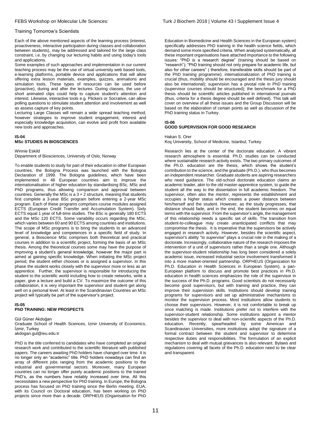Each of the above mentioned aspects of the learning process (interest, proactiveness, interactive participation during classes and collaboration between students), may be addressed and tailored for the large class constraint, i.e. by changing our lecturing habits and using today's tools and applications.

Some examples of such approaches and implementation in our current teaching process may be the use of virtual university web based tools, e-learning platforms, portable device and applications that will allow offering extra lesson materials, examples, quizzes, animations and simulation tools. These types of resources can be used before (proactive), during and after the lectures. During classes, the use of short animated clips could help to capture student's attention and interest. Likewise, interactive tools e.g. Plickers or Socrative, can allow polling questions to stimulate student attention and involvement as well as assess capture of key points.

Lecturing Large Classes will remain a wide spread teaching method. however strategies to improve student engagement, interest and especially knowledge acquisition, can evolve and profit from available new tools and approaches.

#### **IS-04 MSc STUDIES IN BIOSCIENCES**

Winnie Eskild

Department of Biosciences, University of Oslo, Norway

To enable students to study for part of their education in other European countries, the Bologna Process was launched with the Bologna Declaration of 1999. The Bologna guidelines, which have been implemented in 48 European countries aim to improve the internationalisation of higher education by standardising BSc, MSc and PhD programs, thus allowing comparison and approval between countries. Generally the MSc is a  $3 + 2$  structure, meaning that students first complete a 3-year BSc program before entering a 2-year MSc program. Each of these programs comprises course modules assigned ECTS (European Credit Transfer and Accumulation System). Sixty ECTS equal 1 year of full-time studies. The BSc is generally 180 ECTS and the MSc 120 ECTS. Some variability occurs regarding the MSc, which varies between 60 and 90 ECTS among countries and institutions. The scope of MSc programs is to bring the students to an advanced level of knowledge and competences in a specific field of study. In general, a Bioscience MSc comprises both theoretical and practical courses in addition to a scientific project, forming the basis of an MSc thesis. Among the theoretical courses some may have the purpose of improving a student's general knowledge, however the major part is aimed at gaining specific knowledge. When initiating the MSc project period, the student either chooses or is assigned a supervisor. In this phase the student works closely with the supervisor more or less as an apprentice. Further, the supervisor is responsible for introducing the student to the scientific world including how to create networks, write a paper, give a lecture and build a CV. To maximize the outcome of this collaboration, it is very important the supervisor and student get along well on a personal level. At least in the Scandinavian Countries an MSc project will typically be part of the supervisor's project.

### **IS-05**

**PhD TRAINING: NEW PROSPECTS**

Gül Güner Akdoğan

Graduate School of Health Sciences, Izmir University of Economics, İzmir, Turkey

akdogan.gul@ieu.edu.tr

PhD is the title conferred to candidates who have completed an original research work and contributed to the scientific literature with published papers. The careers awaiting PhD holders have changed over time. It is no longer only an "academic" title. PhD holders nowadays can find an array of different jobs ranging from the academic positions to the industrial and governmental sectors. Moreover, many European countries can no longer offer purely academic positions to the trained PhD's, as the numbers have notably increased over time. All this necessitates a new perspective for PhD training. In Europe, the Bologna process has focused on PhD training since the Berlin meeting. EUA, with its Council on Doctoral education, has been working on PhD projects since more than a decade. ORPHEUS (Organisation for PhD

Education in Biomedicine and Health Sciences in the European system) specifically addresses PhD training in the health science fields, which demand some more specified criteria. When analysed systematically, all these important organisations have attached importance to the following issues: "PhD is a research degree" (training should be based on "research"); "PhD training should not only prepare for academic life, but also for other careers" ( therefore, transferable skills should be part of the PhD training programme); internationalization of PhD training is crucial (thus, mobility should be encouraged and the thesis jury should also be international); supervision has a pivotal role in PhD training (supervisor courses should be structured); the benchmark for a PhD thesis should be scientific articles published in international journals (thus, criteria for a thesis degree should be well defined). This talk will cover on overview of all these issues and the Group Discussion will be based on the elaboration of certain points as well as discussion of the PhD training status in Turkey.

#### **IS-06**

#### **GOOD SUPERVISION FOR GOOD RESEARCH**

#### Hakan S. Orer

Koç University, School of Medicine, Istanbul, Turkey

Research lies at the center of the doctorate education. A vibrant research atmosphere is essential. Ph.D. studies can be conducted where sustainable research activity exists. The two primary outcomes of the Ph.D. education are the thesis, which shows the student's contribution to the science, and the graduate (Ph.D.), who thus becomes an independent researcher. Graduate students are aspiring researchers who need guidance. The old-school doctorate education claims an academic leader, akin to the old master-apprentice system, to guide the student all the way to the dissertation in full academic freedom. The supervisor, often also the mentor, represents the establishment and occupies a higher status which creates a power distance between him/herself and the student. However, as the study progresses, that distance should fade, and in the end, the student becomes on equal terms with the supervisor. From the supervisor's angle, the management of this relationship needs a specific set of skills. The transition from student-to-colleague may create unanticipated conflicts that may compromise the thesis. It is imperative that the supervisors be actively engaged in research activity. However, besides the scientific aspect. supervisor's ability "to supervise" plays a crucial role in the making of a doctorate. Increasingly, collaborative nature of the research imposes the intervention of a unit of supervisors rather than a single one. Although the supervisor-student relationship has long been considered a solely academic issue, increased industrial sector involvement transformed it into a more market-oriented partnership. ORPHEUS (Organization for Ph.D. Education in Health Sciences in European System), a pan-European platform to discuss and promote best practices in Ph.D. education in health sciences emphasizes the role of the supervisor in the success of the Ph.D. programs. Good scientists do not necessarily become good supervisors, but with training and practice, they can improve their supervision skills. Institutions should develop training programs for supervisors and set up administrative mechanisms to monitor the supervision process. Most institutions allow students to choose their supervisors. However, it is not comfortable to break up once matching is made. Institutions prefer not to interfere with the supervisor-student relationship. Some institutions appoint a mentor besides the supervisor to deal with non-scientific aspects of the Ph.D. education. Recently, spearheaded by some American and Scandinavian Universities, more institutions adopt the signature of a formal contract between the student and supervisor to determine respective duties and responsibilities. The formulation of an explicit mechanism to deal with mutual grievances is also relevant. Bylaws and regulations covering all facets of the Ph.D. education need to be clear and transparent.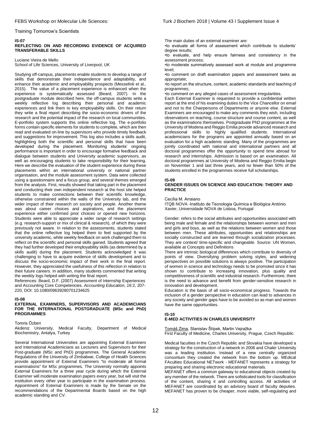#### **IS-07**

#### **REFLECTING ON AND RECORDING EVIDENCE OF ACQUIRED TRANSFERABLE SKILLS**

Luciane Vieira de Mello School of Life Sciences, University of Liverpool, UK

Studying off-campus, placements enable students to develop a range of skills that demonstrate their independence and adaptability, and enhance their academic and employability prospects (Messelink et al., 2015). The value of a placement experience is enhanced when the experience is systematically assessed (Beard, 2007). In the postgraduate module described here, the off-campus students write a weekly reflective log describing their personal and academic experiences and link them to key employability skills. On their return they write a final report describing the socio-economic drivers of the research and the potential impact of the research on local communities. E-portfolio system supports this online reflective log. The e-portfolio forms contain specific elements for students to complete, which are then read and evaluated on-line by supervisors who provide timely feedback and suggestions for improvement. This log also includes a skills audit, highlighting both the scientific and personal skills that have been developed during the placement. Monitoring students' ongoing performance is important in order to encourage formative feedback and dialogue between students and University academic supervisors, as well as encouraging students to take responsibility for their learning. Here we describe the evaluation of the student experience during these placements within an international university or national partner organisation, and the module assessment system. Data were collected using a questionnaire and a focus group, and several themes emerged from the analysis. First, results showed that taking part in the placement and conducting their own independent research at the host site helped students to make connections between their scientific knowledge, otherwise constrained within the walls of the University lab, and the wider impact of their research on society and people. Another theme was about career choices and aspirations, and the placement experience either confirmed prior choices or opened new horizons. Students were able to appreciate a wider range of research settings (e.g. research-support or mix of clinical & research), of which they were previously not aware. In relation to the assessments, students stated that the online reflective log helped them to feel supported by the university academic, while weekly feedback on work challenged them to reflect on the scientific and personal skills gained. Students agreed that they had further developed their employability skills (as determined by a skills audit) during the placement. Students acknowledged it was challenging to have to acquire evidence of skills development and to discuss the socio-economic impact of their work in the final report. However, they appreciated the usefulness of this reflection in relation to their future careers. In addition, many students commented that writing the weekly logs helped with writing the final report.

References: Beard, D.F. (2007) Assessment of Internship Experiences and Accounting Core Competencies. *Accounting Education, 16*:2, 207- 220, DOI: 10.1080/09639280701234625

#### **IS-08**

#### **EXTERNAL EXAMINERS, SUPERVISORS AND ACADEMICIANS FOR THE INTERNATIONAL POSTGRADUATE (MSc and PhD) PROGRAMMES**

Tomris Özben

Akdeniz University, Medical Faculty, Department of Medical Biochemistry, Antalya, Turkey

Several International Universities are appointing External Examiners and International Academicians as Lecturers and Supervisors for their Post-graduate (MSc and PhD) programmes. The General Academic Regulations of the University of Zimbabwe, College of Health Sciences provide appointment of External Examiners "to moderate all formal examinations" for MSc programmes. The University normally appoints External Examiners for a three year cycle during which the External Examiner will moderate examination papers every year, but will visit the institution every other year to participate in the examination process. Appointment of External Examiners is made by the Senate on the recommendations of the Departmental Boards based on the high academic standing and CV.

The main duties of an external examiner are:

•to evaluate all forms of assessment which contribute to students' degree results;

•to evaluate, and help ensure fairness and consistency in the assessment process;

•to moderate summatively assessed work at module and programme level;

•to comment on draft examination papers and assessment tasks as appropriate;

•to report on the structure, content, academic standards and teaching of programmes;

•to comment on any alleged cases of assessment irregularities.

Each External Examiner is requested to provide a confidential written report at the end of his examining duties to the Vice Chancellor on email and not to the Chairpersons of Departments or anyone else. External Examiners are encouraged to make any comments they wish, including observations on teaching, course structure and course content, as well as the examinations themselves. Postgraduate PhD programmes at the University of Modena and Reggio Emilia provide advanced research and professional skills to highly qualified students. International academicians for the programs are appointed annually based on an evaluation for a high academic standing. Many of the programmes are jointly coordinated with national and international partners and all doctoral programmes offer the opportunity to spend time abroad for research and internships. Admission is based on an examination. All doctoral programmes at University of Modena and Reggio Emilia begin on November 1 and last three years, and no fewer than 50% of the students enrolled in the programmes receive full scholarships.

#### **IS-09**

#### **GENDER ISSUES ON SCIENCE AND EDUCATION: THEORY AND PRACTICE**

Cecília M. Arraiano

ITQB NOVA -Instituto de Tecnologia Química e Biológica António Xavier, Universidade NOVA de Lisboa, Portugal

Gender: refers to the social attributes and opportunities associated with being male and female and the relationships between women and men and girls and boys, as well as the relations between women and those between men. These attributes, opportunities and relationships are socially constructed and are learned through socialization processes. They are context/ time-specific and changeable. Source: UN Women, available at Concepts and Definitions

There are intrinsic biological differences which contribute to diversity of points of view. Diversifying problem solving styles, and widening perspectives on possible solutions is always positive. The participation of women in science and technology needs to be promoted since it has shown to contribute to increasing innovation, plus quality and competitiveness of scientific and industrial research. Furthermore, there is the need to advance and benefit from gender-sensitive research in innovation and development.

Education is the basis of all socio-economical progress. Towards the inclusion of a gender perspective in education can lead to advances in any society and gender gaps have to be avoided so as man and women have the same opportunities.

#### **IS-10 E-MED ACTIVITIES IN CHARLES UNIVERSITY**

Tomáš Zima, Stanislav Štípek, Martin Vejražka First Faculty of Medicine, Charles University, Prague, Czech Republic

Medical faculties in the Czech Republic and Slovakia have developed a strategy for the construction of a network in 2006 and Chaler University was a leading institution. Instead of a new centrally organized consortium they created the network from the bottom up. MEdical FAculties Educational NETwork - MEFANET represents a strategy for preparing and sharing electronic educational materials.

MEFANET offers a common gateway to educational objects created by any member of the network. There are sofisticated tools for classification of the content, sharing it and controlling access. All activities of MEFANET are coordinated by an advisory board of faculty deputies. MEFANET has proven to be cheaper, more viable, self-regulating and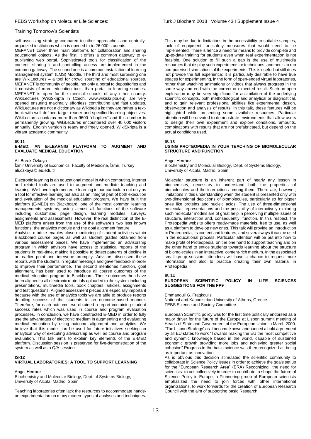self-assessing strategy compared to other approaches and centrallyorganized institutions which is opened to to 26 000 students.

MEFANET cover three main platforms for collaboration and sharing educational objects. As the first, it offers a common gateway to epublishing web portal. Sophisticated tools for classification of the content, sharing it and controlling access are implemented in the common gateway. The second one is a common installation of learning management system (LMS) Moodle. The third and most surprising one are WikiLectures – a tool for crowd sourcing of educational sources. MEFANET is community of people, not only a portal to depositories and it consists of more education tools than portal to learning sources. MEFANET is open for the medical schools of any other country. WikiLectures (WikiSkripta in Czech, www.wikiskripta.eu), are very opened ensuring maximally effortless contributing and fast updates. WikiLectures are not a dictionary as Wikipedia is; they are rather a textbook with well-defined target reader and specified learning objectives. WikiLectures contains more than 9600 "chapters" and this number is permanently growing. WikiLectures encountered over 40 000 visitors annually. English version is ready and freely opened. WikiSkripta is a vibrant academic community

#### **IS-11**

#### **E-MED: AN E-LEARNIG PLATFORM TO AUGMENT AND EVALUATE MEDICAL EDUCATION**

Ali Burak Özkaya

İzmir University of Economics, Faculty of Medicine, İzmir, Turkey ali.ozkaya@ieu.edu.tr

Electronic learning is an educational model in which computing, internet and related tools are used to augment and mediate teaching and learning. We have implemented e-learning in our curriculum not only as a tool for effective learning but also as an integral part of both execution and evaluation of the medical education program. We have built the platform (E-MED) on Blackboard, one of the most common learning managements systems, using almost all functions of the software including customized page design, learning modules, surveys, assignments and assessments. However, the real distinction of the E-MED platform arises from the use of the software's two less known functions: the analytics module and the goal alignment feature.

Analytics module enables close monitoring of student activities within Blackboard course pages as well as student grades obtained from various assessment pieces. We have implemented an advisorship program in which advisors have access to statistical reports of the students in real-time, making it possible to detect patterns of decline in an earlier point and intervene promptly. Advisors discussed these reports with the students in regular meetings and gave feedback in order to improve their performance. The second mentioned function, goal alignment, has been used to introduce all course outcomes of the medical education program to Blackboard. These outcomes then have been aligned to all electronic materials uploaded to the system including presentations, multimedia tools, book chapters, articles, assignments and test questions. Aligned assessment pieces are especially important because with the use of analytics tools we are able to produce reports detailing success of the students in an outcome-based manner. Therefore, for each outcome, we obtained a report containing student success rates which was used in course and program evaluation processes. In conclusion, we have constructed E-MED in order to fully use the advantages of electronic medium in augmenting and evaluating medical education by using outcome alignment and analytics. We believe that this model can be used for future initiatives seeking an analytical way of executing advisorship as well as course and program evaluation. This talk aims to explain key elements of the E-MED platform. Discussion session is preserved for live-demonstration of the system as well as a Q/A session.

#### **IS-12**

## **VIRTUAL LABORATORIES: A TOOL TO SUPPORT LEARNING**

#### Angel Herráez

Biochemistry and Molecular Biology, Dept. of Systems Biology, University of Alcalá, Madrid, Spain

Teaching laboratories often lack the resources to accommodate handson experimentation on many modern types of analyses and techniques.

This may be due to limitations in the accessibility to suitable samples, lack of equipment, or safety measures that would need to be implemented. There is hence a need for means to provide complete and up-to-date training for students even when real experimentation is not feasible. One solution to fill such a gap is the use of multimedia resources that display such experiments or techniques, another is to run computerised simulations of the experiments. This is useful but still does not provide the full experience; it is particularly desirable to have true spaces for experimenting, in the form of open-ended virtual laboratories, rather than watching animations or videos that always progress in the same way and end with the correct or expected result. Such an open exploration may be very significant for assimilation of the underlying scientific concepts, both methodological and analytical or diagnostical, and to gain relevant professional abilities like experimental design, observation and analysis of results. In this talk, these features will be highlighted while presenting some available resources. Particular attention will be devoted to demonstrate environments that allow users to design their own experiment and explore conditions, amounts, combinations with results that are not prefabricated, but depend on the actual conditions used.

#### **IS-13**

#### **USING PROTEOPEDIA IN YOUR TEACHING OF BIOMOLECULAR STRUCTURE AND FUNCTION**

#### Angel Herráez

Biochemistry and Molecular Biology, Dept. of Systems Biology, University of Alcalá, Madrid, Spain

Molecular structure is an inherent part of nearly any lesson in biochemistry, necessary to understand both the properties of biomolecules and the interactions among them. There are, however, limitations in this understanding when the student is presented only with two-dimensional depictions of biomolecules, particularly so for bigger ones like proteins and nucleic acids. The use of three-dimensional molecular representations and the possibility of interactively exploring such molecular models are of great help in perceiving multiple issues of structure, interaction and, consequently, function. In this respect, the Proteopedia website offers ready-made materials, free to use, as well as a platform to develop new ones. This talk will provide an introduction to Proteopedia, its content and features, and several ways it can be used in the educational process. Particular attention will be put into how to make profit of Proteopedia, on the one hand to support teaching and on the other hand to entice students towards learning about the structure of biomolecules in an interactive, content-rich medium. In the associated small group session, attendees will have a chance to request more information and also to practice creating their own material in Proteopedia.

#### **IS-14**

**EUROPEAN SCIENTIFIC POLICY IN LIFE SCIENCES SUGGESTIONS FOR THE FP9** 

#### Emmanouil G. Fragkoulis

National and Kapodistrian University of Athens, Greece FEBS Science and Society Committee

European Scientific policy was for the first time politically endorsed as a major driver for the future of the Europe at Lisbon summit meeting of Heads of State and Government of the European Union in March 2000. "The Lisbon Strategy" as it became known announced a bold agreement by all EU states to work "Towards making the EU the most competitive and dynamic knowledge based in the world, capable of sustained economic growth providing more jobs and achieving greater social cohesion" Progress in the basic science was then recognized as being as important as innovation.

As is obvious this decision stimulated the scientific community to collaborate in Science Policy issues in order to achieve the goals set up for the "European Research Area" (ERA) Recognizing the need for scientists to act collectively in order to contribute to shape the future of Science Policy in Europe, a Pioneering group of European scientists emphasized the need to join forces with other international organizations, to work forwards for the creation of European Research Council with the aim of supporting basic Research.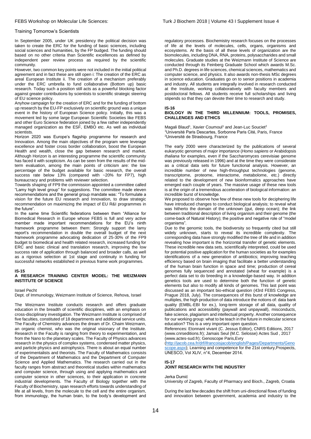In September 2005, under UK presidency the political decision was taken to create the ERC for the funding of basic sciences, including social sciences and humanities, by the FP budged. The funding should based on no other criteria than Scientific excellences as defined by independent peer review process as required by the scientific community.

However, two common key points were not included in the initial political agreement and in fact these are still open i: The creation of the ERC as areal European Institute ii. The creation of a mechanism preferably under the ERC umbrella to fund collaborative (Bottom up) basic research. Today such a position still acts as a powerful blocking factor against greater contributions by scientists to scientific strategic steering of EU science policy.

Anyhow campaign for the creation of ERC and for the funding of bottom up research by the EU-FP exclusively on scientific ground was a unique event in the history of European Science policy. Initially, this was a movement led by some large European Scientific Societies like FEBS and other Euro Science federation joined by a few rather independently managed organization as the ESF, EMBO etc. As well as individual scientists.

Horizon 2020 was Europe's flagship programme for research and Innovation. Among the main objectives of the program were leverage excellence and foster cross border collaboration, boost the European Health and wealth, close the gap between research and market. Although Horizon is an interesting programme the scientific community has faced it with scepticism. As can be seen from the results of the midterm evaluation, among the main points of criticism are: the low percentage of the budget available for basic research, the overall success rate below 13% (compared with ~20% for FP7), high bureaucracy and problems with reviewer selection.

Towards shaping of FP9 the commission appointed a committee called "Lamy high level group" for suggestions. The committee made eleven recommendations and the general group mandate was: "To formulate a vision for the future EU research and Innovation, to draw strategic recommendation on maximizing the impact of EU R&I programmes in the future".

In the same time Scientific federations between them "Alliance for Biomedical Research in Europe whose FEBS is full and very active member made important recommendations for the EU's ninth framework programme between them: Strongly support the lamy report's recommendation in double the overall budget of the next framework programme advocating dedication of 25-30% of the FP9 budget to biomedical and health related research, increased funding for ERC and basic clinical and translation research, improving the low success rate of application through balanced and broader calls, as well as a rigorous selection at 1st stage and continuity in funding for successful networks established in previous frame work programmes.

#### **IS-15**

#### **A RESEARCH TRAINING CENTER MODEL: THE WEIZMANN INSTITUTE OF SCIENCE**

Israel Pecht

Dept. of Immunology, Weizmann Institute of Science, Rehova, Israel

The Weizmann Institute conducts research and offers graduate education in the breadth of scientific disciplines, with an emphasis on cross-disciplinary investigation. The Weizmann Institute is comprised of five faculties, constituted of 18 departments and additional service units. The Faculty of Chemistry advances the dream of Dr. Chaim Weizmann, an organic chemist, who was the original visionary of the Institute. Research in the Faculty is ranging from theory to experimentation, and from the Nano to the planetary scales. The Faculty of Physics advances research in the physics of complex systems, condensed matter physics, and particle physics and astrophysics. There is about an equal number of experimentalists and theorists. The Faculty of Mathematics consists of the Department of Mathematics and the Department of Computer Science and Applied Mathematics. The research carried out in the faculty ranges from abstract and theoretical studies within mathematics and computer science, through using and applying mathematics and computer science in other sciences, to their application in concrete industrial developments. The Faculty of Biology together with the Faculty of Biochemistry, span research efforts towards understanding of life at all levels, from the molecule to the cell and the entire organism, from immunology, the human brain, to the body's development and

regulatory processes. Biochemistry research focuses on the processes of life at the levels of molecules, cells, organs, organisms and ecosystems. At the basis of all these levels of organization are the biomolecules, including DNA, RNA, proteins, polysaccharides and small molecules. Graduate studies at the Weizmann Institute of Science are conducted through its Feinberg Graduate School which awards M.Sc. and Ph.D. degrees in life sciences, chemical sciences, mathematics and computer science, and physics. It also awards non-thesis MSc degrees in science education. Graduates go on to senior positions in academia and industry. All students are integrally involved in research conducted at the Institute, working collaboratively with faculty members and postdoctoral fellows. All students receive full scholarships and living stipends so that they can devote their time to research and study.

#### **IS-16 BIOLOGY IN THE THIRD MILLENNIUM: TOOLS, PROMISES, CHALLENGES AND ETHICS**

Magali Blaud<sup>1</sup>, Xavier Coumoul<sup>1</sup> and Jean-Luc Souciet<sup>2</sup> <sup>1</sup>Université Paris Descartes, Sorbonne Paris Cité, Paris, France <sup>2</sup>Université de Strasbourg, France

The early 2000 were characterized by the publications of several eukaryotic genomes of major importance (*Homo sapiens* or Arabidopsis *thaliana* for examples, even if the Saccharomyces cerevisiae genome was previously released in 1996) and at the time they were considerate as a critical data sets for future functional analysis. However, an incredible number of new high-throughput technologies (genome, transcriptome, proteome, interactome, metabolome, etc.) directly related to the development of new bioinformatics approaches have emerged each couple of years. The massive usage of these new tools is at the origin of a tremendous acceleration of biological information: an incredible burst of knowledge.

We proposed to observe how few of these new tools for deciphering life have introduced changes to conduct biological analysis; to reveal what was hitherto the domain of the unknown (gut, deep ocean); the link between traditional description of living organism and their genome (the come-back of Natural History); the positive and negative role of "model organisms".

Due to the genomic tools, the biodiversity so frequently cited but still widely unknown, starts to reveal its incredible complexity. The corresponding data have strongly modified the tree of life and in addition revealing how important is the horizontal transfer of genetic elements. These incredible new data sets, scientifically interpreted, could be used for potential positive application for the human societies as for examples identifications of a new generation of antibiotics; improving teaching efficiency based on brain imaging that facilitate a better understanding of the human brain function in space and time; production of cereal genomes fully sequenced and annotated (wheat for example) is a perfect data set to do breeding in a knowledge-based way. In addition genetics tools are used to determine both the function of genetic elements but also to modify all kinds of genomes. This last point was discussed as an important bio-ethical question (43rd FEBS Congress, Prague 2018, July). The consequences of this burst of knowledge are multiples, the high production of data introduce the notions of: data bank quality (EMBL-EBI for ex.), long-term storage of all data, quality of publications and accessibility (paywall and unpaywall), misconducts, fake science, plagiarism and intellectual property. Another consequence for our working group: what to be teach in the future in molecular science education? This is a very important open question.

References: Etonnant vivant (C. Jessus Editor), CNRS Editions, 2017 (www.cnrseditions.fr); Jamais Seul (M.C. Selosse) Actes Sud , 2017 (www.actes-sud.fr); Genoscope Paris,Evry

[\(http://jacob.cea.fr/drf/ifrancoisjacob/english/Pages/Departments/Geno](http://jacob.cea.fr/drf/ifrancoisjacob/english/Pages/Departments/Genoscope.aspx) [scope.aspx\)](http://jacob.cea.fr/drf/ifrancoisjacob/english/Pages/Departments/Genoscope.aspx); Learning and competence for the 21st century, Prospects, UNESCO, Vol XLIV, n°4, December 2014.

# **IS-17**

# **JOINT RESEARCH WITH THE INDUSTRY**

#### Jerka Dumić

University of Zagreb, Faculty of Pharmacy and Bioch., Zagreb, Croatia

During the last few decades the shift from uni-directional flows of funding and innovation between government, academia and industry to the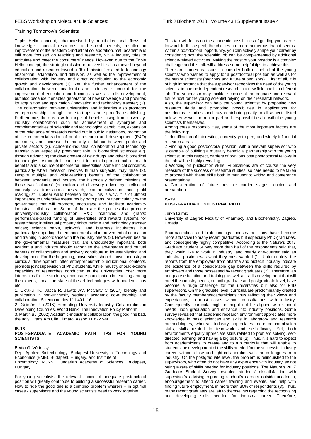Triple Helix concept, characterised by multi-directional flows of knowledge, financial resources, and social benefits, resulted in improvement of the academic-industrial collaboration. Yet, academia is still more focused on teaching and research, while industry tries to articulate and meet the consumers' needs. However, due to the Triple Helix concept, the strategic mission of universities has moved beyond education and research toward a "third mission" related to technology absorption, adaptation, and diffusion, as well as the improvement of collaboration with industry and direct contribution to the economic growth and development (1). Yet, the further enhancement of the collaboration between academia and industry is crucial for the improvement of education and training as well as skills development, but also because it enables generation of new knowledge and provides its acquisition and application (innovation and technology transfer) (2). The collaboration between universities and industries also promotes entrepreneurship through the start-ups and spin-offs establishing. Furthermore, there is a wide range of benefits rising from universityindustry collaboration such as achievement of synergies and complementarities of scientific and technological capabilities, expansion of the relevance of research carried out in public institutions, promotion of the commercialization of public research and development (R&D) outcomes, and increase the mobility of labour between public and private sectors (2). Academic-industrial collaboration and technology transfer play especially prominent role in biomedical sciences e.g. through advancing the development of new drugs and other biomedical technologies. Although it can result in both important public health benefits and a source of income for universities, some ethical concerns, particularly when research involves human subjects, may raise (3). Despite multiple and wide-reaching benefits of the collaboration between academia and industry, the historically defined missions of these two "cultures" (education and discovery driven by intellectual curiosity vs. translational research, commercialization, and profit making) still upbear walls between them. This is why, it is of utmost importance to undertake measures by both parts, but particularly by the government that will promote, encourage and facilitate academicindustrial collaboration. Some of them are the policies that promote university-industry collaboration; R&D incentives and grants; performance-based funding of universities and reward systems for researchers; intellectual property rights regime and technology transfer offices; science parks, spin-offs, and business incubators, but particularly supporting the enhancement and improvement of education and training in accordance with the industry needs (2). However, beside the governmental measures that are undoubtedly important, both academia and industry should recognise the advantages and mutual benefits of collaboration and actively contribute to its establishing and development. For the beginning, universities should consult industry in curricula development, offer entrepreneur¬ship educational contents, promote joint supervision of PhD students, while industry should explore capacities of researches conducted at the universities, offer more internships for the students, encourage participation in teaching among the experts, shear the state-of-the-art technologies with academicians etc.

1. Okraku TK, Vacca R, Jawitz JW, McCarty C (2017) Identity and publication in non-university settings: academic co-authorship and collaboration. Scientometrics 111:401–16.

2. Guimón J. (2013) Promoting University-Industry Collaboration in Developing Countries. World Bank: The Innovation Policy Platform 3. Martin BJ (2002) Academic-industrial collaboration: the good, the bad,

the ugly. Trans Am Clin Climatol Assoc 113:227-40.

#### **IS-18**

#### **POST-GRADUATE ACADEMIC PATH TIPS FOR YOUNG SCIENTISTS**

Beáta G. Vértessy

Dept Applied Biotechnology, Budapest University of Technology and Economics (BME), Budapest, Hungary, and Institute of Enzymology, RCNS, Hungarian Academy of Sciences, Budapest,

**Hungary** 

For young scientists, the relevant choice of adequate postdoctoral position will greatly contribute to building a successful research carrier. How to ride the good tide is a complex problem wherein – in optimal cases - supervisors and the young scientists need to work together.

This talk will focus on the academic possibilities of guiding your career forward. In this aspect, the choices are more numerous than it seems. Within a postdoctoral opportunity, you can actively shape your career by considering how the scientific job can be complemented by additional science-related activities. Making the most of your postdoc is a complex challenge and this talk will address some helpful tips to achieve this.

There are numerous issues to consider both on behalf of the young scientist who wishes to apply for a postdoctoral position as well as for the senior scientists (previous and future supervisors). First of all, it is of high importance that the supervisor recognizes the need of the young scientist to pursue independent research in a new field and in a different lab. The supervisor may facilitate choice of the cognate and relevant future host for the young scientist relying on their research network.

Also, the supervisor can help the young scientist by proposing new research fields and promoting possibilities in applications for postdoctoral studies, and may contribute greatly to all aspects listed below. However the major part and responsibilities lie with the young scientists themselves.

Among these responsibilities, some of the most important factors are the following:

1 Identification of interesting, currently yet open, and widely influential research areas

2 Finding a good postdoctoral position, with a relevant supervisor who is capable of building a mutually beneficial partnership with the young scientist. In this respect, carriers of previous post postdoctoral fellows in the lab will be highly revealing.

3 Working on publication skills. Publications are of course the very measure of the success of research studies, so care needs to be taken to proceed with these skills both in manuscript writing and conference presentations

4 Consideration of future possible carrier stages, choice and preparation.

#### **IS-19**

### **POST-GRADUATE INDUSTRIAL PATH**

Jerka Dumić

University of Zagreb Faculty of Pharmacy and Biochemistry, Zagreb, Croatia

Pharmaceutical and biotechnology industry positions have become manuate and many recent graduates but especially PhD graduates, and consequently highly competitive. According to the Nature's 2017 Graduate Student Survey more than half of the respondents said that, they would like to work in industry, and nearly one-quarter said an industrial position was what they most wanted (1). Unfortunately, the reports from the employers from pharma and biotech industry indicate the existence of a considerable gap between the skills required by employers and those possessed by recent graduates (2). Therefore, an adequate education and training, as well as skills development that will meet the industry needs, on both graduate and postgraduate level, have become a huge challenge for the universities but also for PhD supervisors. On the graduate level, curricula are predominantly created by the faculty members/academicians thus reflecting their views and expectations, in most cases without consultations with industry. Consequently, curricula might or might not be aligned with student needs upon graduation and entrance into industry positions. Some survey revealed that academic research environment appreciates more knowledge in basic sciences and skills in laboratory and research methodologies, whereas industry appreciates more communication skills, skills related to teamwork and self-efficacy. Yet, both environments equally appreciate skills related to problem solving, selfdirected learning, and having a big picture (2). Thus, it is hard to expect from academicians to create and to run curricula that will enable to students the development of the skills needed for the successful industry career, without close and tight collaboration with the colleagues from industry. On the postgraduate level, the problem is relinquished to the supervisors, who often do not have any experience with industry, so not being aware of skills needed for industry positions. The Nature's 2017 Graduate Student Survey revealed students' dissatisfaction with supervisor's advising regarding student's careers outside academia, encouragement to attend career training and events, and help with finding future employment, in more than 30% of respondents (3). Thus, many recent graduates are left to themselves regarding the recognising and developing skills needed for industry career. Therefore,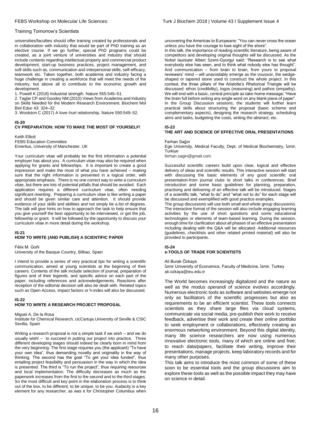universities/faculties should offer training created by professionals and in collaboration with industry that would be part of PhD training as an elective course. If we go further, special PhD programs could be created, as a joint venture of universities and industry that should include contents regarding intellectual property and commercial product development, start-up business practices, project management, and soft skills such as, communication and interpersonal skills, self-efficacy, teamwork etc. Taken together, both academia and industry facing a huge challenge in creating a workforce that will meet the needs of the industry, but above all to contribute to the economic growth and development.

1. Powell K (2018) Industrial strength. Nature 555:549–51.

2. Taglar CP and Goodey NM (2015) Views from Academia and Industry on Skills Needed for the Modern Research Environment. Biochem Mol Biol Educ 43: 324–32.

3. Woolston C (2017) A love–hurt relationship. Nature 550:549–52.

#### **IS-20**

#### **CV PREPARATION: HOW TO MAKE THE MOST OF YOURSELF!**

Keith Elliott FEBS Education Committee Emeritus, University of Manchester, UK

Your curriculum vitae will probably be the first information a potential employer has about you. A curriculum vitae may also be required when applying for grants and fellowships. It is important to create a good impression and make the most of what you have achieved – making sure that the right information is presented in a logical order, with appropriate emphasis. There is no one correct way to write a curriculum vitae, but there are lots of potential pitfalls that should be avoided. Each application requires a different curriculum vitae, often needing significant rewriting. Preparing a curriculum vitae is like writing a paper and should be given similar care and attention. It should provide evidence of your skills and abilities and not simply be a list of degrees. The talk will give hints on how to approach the task to help ensure that you give yourself the best opportunity to be interviewed, or get the job, fellowship or grant. It will be followed by the opportunity to discuss your curriculum vitae in more detail during the workshop.

#### **IS-21**

#### **HOW TO WRITE (AND PUBLISH) A SCIENTIFIC PAPER**

Félix M. Goñi

University of the Basque Country, Bilbao, Spain

I intend to provide a series of very practical tips for writing a scientific communication, aimed at young scientists at the beginning of their careers. Contents of the talk include selection of journal, preparation of figures and of their legends, and specific advice on each part of the paper, including references and acknowledgements. Reactions after reception of the editorial decision will also be dealt with. Related topics such as Open Access, impact factors or h-index will also be discussed.

#### **IS-22 HOW TO WRITE A RESEARCH PROJECT PROPOSAL**

Miguel A. De la Rosa

Institute for Chemical Research, cicCartuja University of Seville & CSIC Sevilla, Spain

Writing a research proposal is not a simple task if we wish – and we do usually wish! – to succeed in putting our project into practice. Three different developing stages should indeed be clearly born in mind from the very beginning. The first stage requires you (the applicant) "To have your own idea", thus demanding novelty and originality in the way of thinking. The second has the goal "To get your idea funded", thus entailing project feasibility and persuasion in the way in which the idea is presented. The third is "To run the project", thus requiring resources and local implementation. The difficulty decreases as much as the paperwork increases from the first to the second and to the third stages. So the most difficult and key point in the elaboration process is to think out of the box, to be different, to be unique, to be you. Audacity is a key element for any researcher, as was it for Christopher Columbus when

uncovering the Americas to Europeans: "You can never cross the ocean unless you have the courage to lose sight of the shore".

In this talk, the importance of reading scientific literature, being aware of competitors and developing original thoughts will be discussed. As the Nobel laureate Albert Szent-Gyorgyi said: "Research is to see what everybody else has seen, and to think what nobody else has thought". And communication – from brain to brain, from yours to proposal reviewers' mind – will unavoidably emerge as the voussoir, the wedgeshaped or tapered stone used to construct the whole project. In this context, the three pillars of the Aristotle's Rhetorical Triangle will be discussed: ethos (credibility), logos (reasoning) and pathos (empathy). We will end with a basic, central principle as take-home message: "Have the brain full before writing any single word on any blank piece of paper". In the Group Discussion sessions, the students will further learn practical skills about structuring the proposal (basic scheme and complementary aspects), designing the research strategy, scheduling aims and tasks, budgeting the costs, writing the abstract, etc.

**IS-23**

#### **THE ART AND SCIENCE OF EFFECTIVE ORAL PRESENTATIONS**

Ferhan Sağın

Ege University, Medical Faculty, Dept. of Medical Biochemistry, İzmir, **Turkiye** 

ferhan.sagin@gmail.com

Successful scientific careers build upon clear, logical and effective delivery of ideas and scientific results. This interactive session will start with discussing the basic elements of any good scientific oral presentation-from journal clubs to short talks in conferences. Brief introduction and some basic guidelines for planning, preparation, practising and delivering of an effective talk will be introduced. Stages of a scientific talk, "what to do" and "what not to do" for each stage will be discussed and exemplified with good practice examples.

The group discussions will use both small and whole group discussions. The interactive format of the session will also include engaging learning activities by the use of short questions and some educational technologies or elements of team-based learning. During the session, enough time for clarification about all phases of an effective presentation including dealing with the Q&A will be allocated. Additional resources (guidelines, checklists and other related printed material) will also be provided to participants.

#### **IS-24**

#### **e-TOOLS OF TRADE FOR SCIENTISTS**

Ali Burak Özkaya

İzmir University of Economics, Faculty of Medicine, İzmir, Turkey ali.ozkaya@ieu.edu.tr

The World becomes increasingly digitalized and the nature as well as the *modus operandi* of science evolves accordingly. Numerous electronic tools as software and websites emerge not only as facilitators of the scientific progresses but also as requirements to be an efficient scientist. These tools connects scientists as they share large files via cloud systems, communicate via social media, pre-publish their work to receive feedback, advertise their work and create their online portfolio to seek employment or collaborations, effectively creating an enormous networking environment. Beyond this digital identity, many life science researchers are now using numerous innovative electronic tools, many of which are online and free; to reach data/papers, facilitate their writing, improve their presentations, manage projects, keep laboratory records and for many other purposes.

This talk aims to introduce the most common of some of these soon to be essential tools and the group discussions aim to explore these tools as well as the possible impact they may have on science in detail.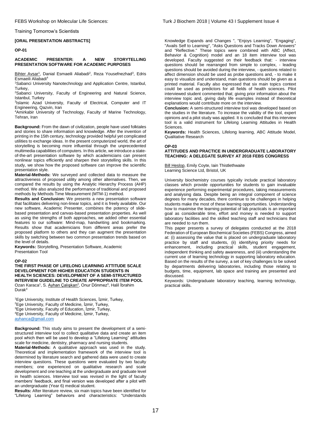**[ORAL PRESENTATION ABSTRACTS]**

**OP-01**

#### **ACADEMIC PRESENTER: A NEW STORYTELLING PRESENTATION SOFTWARE FOR ACADEMIC PURPOSES**

Bihter Avsar<sup>1</sup>, Danial Esmaeili Aliabadi<sup>2</sup>, Reza Yousefnezhad<sup>3</sup>, Edris Esmaeili Aliabadi<sup>4</sup>

<sup>1</sup>Sabanci University Nanotechnology and Application Centre, Istanbul, Turkey,

<sup>2</sup>Sabanci University, Faculty of Engineering and Natural Science, Istanbul, Turkey

<sup>3</sup>Islamic Azad University, Faculty of Electrical, Computer and IT Engineering, Qazvin, Iran

<sup>4</sup>Amirkabir University of Technology, Faculty of Marine Technology, Tehran, Iran

**Background:** From the dawn of civilization, people have used folktales and stories to share information and knowledge. After the invention of printing in the 15th century, technology provided helpful yet complicated utilities to exchange ideas. In the present computerized world, the art of storytelling is becoming more influential through the unprecedented multimedia capabilities of computers. In this article, we introduce a stateof-the-art presentation software by which academicians can present nonlinear topics efficiently and sharpen their storytelling skills. In this study, we show how the proposed software can improve the scientific presentation style.

**Material-Methods:** We surveyed and collected data to measure the attractiveness of proposed utility among other alternatives. Then, we compared the results by using the Analytic Hierarchy Process (AHP) method. We also analyzed the performance of traditional and proposed methods by Methods Time Measurement (MTM-1) method.

**Results and Conclusion:** We presents a new presentation software that facilitates delivering non-linear topics, and it is freely available. Our new software, Academic Presenter, combines the potency of slidebased presentation and canvas-based presentation properties. As well as using the strengths of both approaches, we added other essential features to our software: Mind-map, handwriting and bookmarking. Results show that academicians from different areas prefer the proposed platform to others and they can augment the presentation skills by switching between two common presentation trends based on the level of details.

**Keywords:** Storytelling, Presentation Software, Academic Presentation Tool

#### **OP-02**

**THE FIRST PHASE OF LIFELONG LEARNING ATTITUDE SCALE DEVELOPMENT FOR HIGHER EDUCATION STUDENTS IN HEALTH SCIENCES: DEVELOPMENT OF A SEMI-STRUCTURED INTERVIEW GUIDELINE TO CREATE APPROPRIATE ITEM POOL**  Ozan Karaca<sup>1</sup>, S. Ayhan Çalışkan<sup>2</sup>, Onur Dönmez<sup>3</sup>, Halil İbrahim Durak<sup>4</sup>

<sup>1</sup>Ege University, Institute of Health Sciences, İzmir, Turkey, <sup>2</sup>Ege University, Faculty of Medicine, İzmir, Turkey, <sup>3</sup>Ege University, Faculty of Education, İzmir, Turkey, <sup>4</sup>Ege University, Faculty of Medicine, İzmir, Turkey, [ayhanca@gmail.com](mailto:ayhanca@gmail.com)

**Background:** This study aims to present the development of a semistructured interview tool to collect qualitative data and create an item pool which then will be used to develop a "Lifelong Learning" attitudes scale for medicine, dentistry, pharmacy and nursing students.

**Material-Methods:** A qualitative approach was used in the study. Theoretical and implementation framework of the interview tool is determined by literature search and gathered data were used to create interview questions. These questions were evaluated by two faculty members; one experienced on qualitative research and scale development and one teaching at the undergraduate and graduate level in health sciences. Interview tool was revised in the light of faculty members' feedback, and final version was developed after a pilot with an undergraduate (Year 6) medical student.

**Results:** After literature review, six main topics have been identified for "Lifelong Learning" behaviors and characteristics: "Understands

Knowledge Expands and Changes ", "Enjoys Learning", "Engaging", "Avails Self to Learning", "Asks Questions and Tracks Down Answers" and "Reflective." These topics were combined with ABC (Affect, Behavior & Cognition) model and an 18 item interview tool was developed. Faculty suggested on their feedback that: - interview questions should be rearranged from simple to complex, - leading questions should be avoided during the interview, - questions related to affect dimension should be used as probe questions and, - to make it easy to visualize and understand, main questions should be given as a printed material. Faculty also expressed that six main topics context could be used as predictors for all fields of health sciences. Pilot interviewed student commented that; giving prior information about the interview topic and, giving daily life examples instead of theoretical explanations would contribute more on the interview.

**Conclusion:** A semi-structured interview tool was developed based on the studies in the literature. To increase the validity of the tool, expert opinions and a pilot study was applied. It is concluded that this interview tool is a valid instrument for Lifelong Learning Attitudes in Health Sciences.

**Keywords:** Health Sciences, Lifelong learning, ABC Attitude Model, Qualitative Research

#### **OP-03**

#### **ATTITUDES AND PRACTICE IN UNDERGRADUATE LABORATORY TEACHING: A DELEGATE SURVEY AT 2018 FEBS CONGRESS**

Bill Heslop, Emily Coyte, Iain Thistlethwaite Learning Science Ltd, Bristol, UK

University biochemistry courses typically include practical laboratory classes which provide opportunities for students to gain invaluable experience performing experimental procedures, taking measurements and analysing data. Despite being an integral component of science degrees for many decades, there continue to be challenges in helping students make the most of these learning opportunities. Understanding how to maximise the learning potential of lab practicals is an important goal as considerable time, effort and money is needed to support laboratory facilities and the skilled teaching staff and technicians that are needed to run them.

This paper presents a survey of delegates conducted at the 2018 Federation of European Biochemical Societies (FEBS) Congress, aimed at: (i) assessing the value that is placed on undergraduate laboratory practice by staff and students, (ii) identifying priority needs for enhancement, including practical skills, student engagement, independent thinking and safety awareness, and (iii) understanding the current use of learning technology in supporting laboratory education. Based on the results of the survey, a set of key challenges to be solved by departments delivering laboratories, including those relating to budgets, time, equipment, lab space and training are presented and discussed.

Keywords: Undergraduate laboratory teaching, learning technology, practical skills.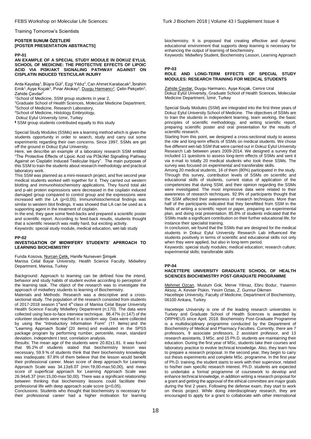#### **POSTER SUNUM ÖZETLERİ [POSTER PRESENTATION ABSTRACTS]**

**PP-01**

#### **AN EXAMPLE OF A SPECIAL STUDY MODULE IN DOKUZ EYLUL SCHOOL OF MEDICINE: THE PROTECTIVE EFFECTS OF LIPOIC ACID VIA PI3K/AKT SIGNALING PATHWAY AGAINST ON CISPLATIN INDUCED TESTICULAR INJURY**

Arda Kayataş<sup>1</sup>, Büşra Gül<sup>1</sup>, Ezgi Yıldız<sup>1</sup>, Can Ahmet Karabacak<sup>1</sup>, İbrahim Emik<sup>1</sup>, Ayşe Koçak<sup>2</sup>, Pınar Akokay<sup>3</sup>, Duygu Harmancı<sup>2</sup>, Çetin Pekçetin<sup>3</sup>, Zahide Çavdar<sup>2</sup>

<sup>1</sup>School of Medicine, SSM group students in year 2,

<sup>2</sup>Graduate School of Health Sciences, Molecular Medicine Department,

<sup>3</sup>School of Medicine, Research Laboratory, <sup>4</sup>School of Medicine, Histology Embryology,

Dokuz Eylul University Izmir, Turkey

SSM group students contributed equally to this study

Special Study Modules (SSMs) are a learning method which is given the students opportunity in order to search, study and carry out some experiments regarding their own concerns. Since 1997, SSMs are get off the ground in Dokuz Eylul University.

Here, we describe an example of a laboratory research SSM entitled "The Protective Effects of Lipoic Acid via PI3k/Akt Signalling Pathway Against on Cisplatin Induced Testicular Injury". The main purposes of this SSM to train the students about research methodology and practical laboratory work.

This SSM was planned as a mini-research project, and five second year medical students worked with together for it. They carried out western blotting and immunohistochemistry applications. They found total akt and p-akt protein expressions were decreased in the cisplatin induced damaged group compared to control group and the expressions were increased with the LA (p<0,05). Immunohistochemical findings was similar to western blot findings. It was showed that LA can be used as a supporting agent in the treatment of cisplatin.

In the end, they gave some feed-backs and prepared a scientific poster and scientific report. According to feed-back results, students thought that a scientific research was really hard, but exciting activity.

Keywords: special study module, medical education, wet-lab study

#### **PP-02**

#### **INVESTIGATION OF MIDWIFERY STUDENTS' APRROACH TO LEARNING BIOCHEMISTRY**

Funda Kosova, Nurcan Çelik, Hanife Nurseven Şimşek Manisa Celal Bayar University, Health Science Faculty, Midwifery Department, Manisa, Turkey

Background: Approach to learning can be defined how the intend, behavior and study habits of student evolve according to perception of the learning task. The object of the research was to investigate the approach of midwifery students to learning of Biochemistry.

Materials and Methods: Research was a descriptive and a crosssectional study. Th[e population](http://tureng.com/tr/turkce-ingilizce/population) of the research consisted from students of 2017-2018 season 1<sup>st</sup>and 4<sup>th.</sup>class of Manisa Celal Bayar University Health Science Faculty Midwifery Department (n:170). The data were collected using face-to-face interview technique. 86.47% (n:147) of the volunteer students were reached in a random way. Data were collected by using the "Introductory Information Form" (11 items) and the "Learning Approach Scale" (20 items) and evaluated in the SPSS package program by performing number, percentile, mean, standard deviation, independent t test, correlation analysis.

Results: The mean age of the students were 20.82±1.81. It was found that 95.2%.of students stated that biochemistry lesson was necessary,.59.9.%.of students think that their biochemistry knowledge was inadequate: 87.8% of them believe that the lesson would benefit their professional career. Mean score of deep approach for Learning Approach Scale was 34.13±6.07 (min:19,00-max:50,00), and mean score of superficial approach for Learning Approach Scale was 26.94±6.37.(min:15,00-max:50,00)..There was a significant relationship between thinking that biochemistry lessons could facilitate their professional life with deep approach scale score (p<0,05).

Conclusions: Students who thought that biochemistry is necessary for their professional career had a higher motivation for learning biochemistry. It is proposed that creating effective and dynamic educational environment that supports deep learning is necessary for enhancing the output of learning of biochemistry.

Keywords: Midwifery Student, Biochemistry Lesson, Learning Approach

#### **PP-03**

#### **ROLE AND LONG-TERM EFFECTS OF SPECIAL STUDY MODULES: RESEARCH TRAINING FOR MEDICAL STUDENTS**

Zahide Çavdar, Duygu Harmancı, Ayşe Koçak, Cemre Ural Dokuz Eylül University, Graduate School of Health Sciences, Molecular Medicine Department, İzmir, Turkey

Special Study Modules (SSM) are integrated into the first three years of Dokuz Eylul University School of Medicine. The objectives of SSMs are to train the students in independent learning, team working, the basic principles of scientific methodology, and writing scientific report, preparing scientific poster and oral presentation for the results of scientific research.

Starting from this point, we designed a cross-sectional study to assess the role and long-term effects of SSMs on medical students. We chose five different wet-lab SSM that were carried out in Dokuz Eylul University Research Lab between years 2009-2014. We designed a survey that included 11 questions to assess long-term effects of SSMs and sent it via e-mail to totally 20 medical students who took these SSMs. The survey was focused on experimental and transferable skills.

Among 20 medical students, 16 of them (80%) participated in the study. Through this survey, contribution levels of SSMs on scientific and educational skills of students, current status of application of the competencies that during SSM, and their opinion regarding the SSMs were investigated. The most impressive data were related to their awareness of research techniques. 92.9% of participants thought that the SSM affected their awareness of research techniques. More than half of the participants indicated that they benefitted from SSM in the fields of writing a scientific report or paper, preparing an experimental plan, and doing oral presentation. 85.8% of students indicated that the SSMs made a significant contribution on their further educational life, for instance their specialist training.

In conclusion, we found that the SSMs that are designed for the medical students in Dokuz Eylul University Research Lab influenced the students positively in terms of scientific and educational skills not only when they were applied, but also in long-term period.

Keywords: special study modules; medical education; research culture; experimental skills; transferable skills

#### **PP-04**

#### **HACETTEPE UNIVERSITY GRADUATE SCHOOL OF HEALTH SCIENCES BIOCHEMISTRY POST-GRADUATE PROGRAMME**

Mehmet Ozcan, Muslum Gok, Merve Yilmaz, Ebru Bodur, Yasemin Aksoy, A. Kevser Piskin, Yesim Oztas, Z. Gunnur Dikmen Hacettepe University, Faculty of Medicine, Department of Biochemistry, 06100 Ankara, Turkey

Hacettepe University is one of the leading research universities in Turkey and Graduate School of Health Sciences is awarded by ORPHEUS since April, 2018. Biochemistry Post-Graduate Programme is a multidisciplinary programme conducted by the Department of Biochemistry of Medical and Pharmacy Faculties. Currently, there are 7 professors, 9 associate professors, 2 assistant professor, and 13 research assistants, 3 MSc. and 15 Ph.D. students are maintaining their education. During the first year of MSc, students take their courses and laboratory practice to evolve technical knowledge. Also, they learn how to prepare a research proposal. In the second year, they begin to carry out thesis experiments and complete MSc. programme. In the first year of Ph.D. training, the student starts to work with their supervisor, related to his/her own specific research interest. Ph.D. students are expected to undertake a formal programme of coursework to develop and enhance technical knowledge, in addition writing a research proposal for a grant and getting the approval of the ethical committee are major goals during the first 2 years. Following the defense exam, they start to work on thesis project. While doing interdisciplinary research, they are encouraged to apply for a grant to collaborate with other international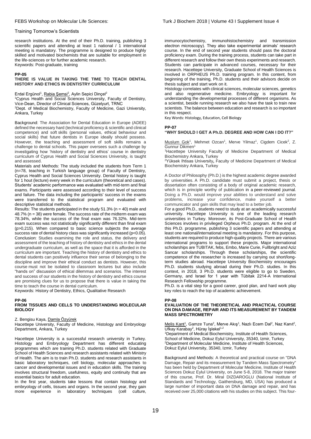research institutions. At the end of their Ph.D. training, publishing 3 scientific papers and attending at least 1 national / 1 international meeting is mandatory. The programme is designed to produce highly skilled and motivated biochemists that are suitable for employment in the life-sciences or for further academic research. Keywords: Post-graduate, training

#### **PP-05**

#### **THERE IS VALUE IN TAKING THE TIME TO TEACH DENTAL HISTORY AND ETHICS IN DENTISTRY CURRICULUM**

Erdal Ergünol<sup>1</sup>, Rabia Şemsi<sup>2</sup>, Aylin Sepici Dinçel<sup>2</sup>

<sup>1</sup>Cyprus Health and Social Sciences University, Faculty of Dentistry, Vice-Dean, Director of Clinical Sciences, Güzelyurt, TRNC <sup>2</sup>Dept. of Medical Biochemistry, Faculty of Medicine, Gazi University, Ankara, Turkey

Background: The Association for Dental Education in Europe (ADEE) defined the necessary hard (technical proficiency & scientific and clinical competence) and soft skills (personal values, ethical behaviour and social skills) that future dentists in Europe ideally should possess. However, the teaching and assessment of soft skills remains a challenge to dental schools. This paper oversees such a challenge by investigating how 'history of dentistry and ethics' course in dentistry curriculum of Cyprus Health and Social Sciences University, is taught and assessed.

Materials and Methods: The study included the students from Term 1 (n=78, teaching in Turkish language group) of Faculty of Dentistry, Cyprus Health and Social Sciences University. Dental history is taught for 1 hout (lecture) every week in the curriculum (theoretical and cases). Students' academic performance was evaluated with mid-term and final exams. Participants were assessed according to their level of success and failure. The data including the participants' success in the exams were transferred to the statistical program and evaluated with descriptive statistical methods.

Results: The students participated in the study 51.3% ( $n = 40$ ) male and 48.7% (n = 38) were female. The success rate of the midterm exam was 78.34%, while the success of the final exam was 76.32%. Mid-term exam success was not statistically significantly different than final exam (p>0,215). When compared to basic science subjects the average success rate of dental history class was significantly increased (p<0.05). Conclusion: Studies examining the role and status, the delivery and assessment of the teaching of history of dentistry and ethics in the dental undergraduate curriculum, as well as the space that it is afforded in the curriculum are important. Teaching the history of dentistry and ethics to dental students can positively influence their sense of belonging to the discipline and improve their ethical conduct as dentists. However, this course must not be isolated to classroom lectures but also include "hands on" discussion of ethical dilemmas and scenarios. The interest and success of our students in the history of dentistry and ethics course are promising clues for us to propose that there is value in taking the time to teach the course in dental curriculum.

Keywords: History of Dentistry, Ethics, Qualitative Research

#### **PP-06**

#### **FROM TISSUES AND CELLS TO UNDERSTANDING MOLECULAR BIOLOGY**

#### Z. Bengisu Kaya, Damla Özyürek

Hacettepe University, Faculty of Medicine, Histology and Embryology Department, Ankara, Turkey

Hacettepe University is a successful research university in Turkey. Histology and Embryology Department has different educating programmes which are training Ph.D. students related with Graduate School of Health Sciences and research assistants related with Ministry of Health. The aim is to train Ph.D. students and research assistants in basic laboratory techniques, cell biology, molecular approaches to cancer and developmental issues and in education skills. The training involves structural freedom, usefulness, equity and continuity that are essential basics for adult education.

In the first year, students take lessons that contain histology and embryology of cells, tissues and organs. In the second year, they gain<br>more experience in laboratory techniques (cell culture. in laboratory techniques (cell culture, immunocytochemistry, immunohistochemistry and transmission electron microscopy). They also take experimental animals' research course. In the end of second year students should pass the doctoral proficiency exam. During the training process, students can take part in different research and follow their own thesis experiments and research. Students can participate in advanced courses, necessary for their research. Hacettepe University, Graduate School of Health Sciences is involved in ORPHEUS Ph.D. training program. In this content, from beginning of the training, Ph.D. students and their advisors decide on thesis subject and start work on it.

Histology correlates with clinical sciences, molecular sciences, genetics and also regenerative medicine. Embryology is important for understanding the developmental processes of different organisms. As a scientist, beside running research we also have the task to train new scientists. The balance between education and research is so important in this respect.

Key Words: Histology, Education, Cell Biology

#### **PP-07**

# **"WHY SHOULD I GET A Ph.D. DEGREE AND HOW CAN I DO IT?"**

Muslum Gok<sup>1</sup>, Mehmet Ozcan<sup>1</sup>, Merve Yilmaz<sup>1</sup>, Cigdem Cicek<sup>2</sup>, Z. Gunnur Dikmen<sup>1</sup>

<sup>1</sup>Hacettepe University Faculty of Medicine Department of Medical Biochemistry Ankara, Turkey

<sup>2</sup>Yüksek Ihtisas University**,** Faculty of Medicine Department of Medical Biochemistry Ankara, Turkey

A Doctor of Philosophy (Ph.D.) is the highest academic degree awarded by universities. A Ph.D. candidate must submit a project, thesis or dissertation often consisting of a body of original academic research, which is in principle worthy of publication in a [peer-reviewed](https://en.wikipedia.org/wiki/Peer_review) journal. Doing a Ph.D. would improve your abilities to understand and solve problems, increase your confidence, make yourself a better communicator and gain skills that may lead to a better job.

For a good Ph.D., students need to study at an academically successful university. Hacettepe University is one of the leading research universities in Turkey. Moreover, its Post-Graduate School of Health Sciences involves in privileged Orpheus Ph.D. program. At the end of this Ph.D. programme, publishing 3 scientific papers and attending at least one national/international meeting is mandatory. For this purpose, students are required to produce high-quality projects. There are various international programs to support these projects. Major international scholarships are TUBITAK, febs, Embo, Marie Curie, Fullbright and Aziz Sancar scholarships. Through these scholarships, the scientific competence of the researcher is increased by carrying out short/longterm studies abroad. Hacettepe University Biochemistry encourages Ph.D. students studying abroad during their Ph.D. studies. In this context, in 2018, 3 Ph.D. students were eligible to go to Sweden, Germany, and Israel for 1 year with Tübitak 2214-A International Research Fellowship programme.

Ph.D. is a vital step for a good career, good plan, and hard work play key roles to reach the top of academic achievement.

#### **PP-08**

#### **EVALUATION OF THE THEORETICAL AND PRACTICAL COURSE ON DNA DAMAGE, REPAIR AND ITS MEASUREMENT BY TANDEM MASS SPECTROMETRY**

Melis Kant<sup>1</sup>, Gamze Tuna<sup>2</sup>, Merve Akış<sup>1</sup>, Nazlı Ecem Dal<sup>2</sup>, Naz Kanıt<sup>2</sup>, Ufkay Karabay<sup>2</sup>, Hüray İşlekel<sup>1,2</sup>

<sup>1</sup>Department of Medical Biochemistry, Institute of Health Sciences, School of Medicine, Dokuz Eylul University, 35340, Izmir, Turkey <sup>2</sup>Department of Molecular Medicine, Institute of Health Sciences, Dokuz Eylul University, 35340, Izmir, Turkey

Background and Methods: A theoretical and practical course on "DNA Damage, Repair and its measurement by Tandem Mass Spectrometry" has been held by Department of Molecular Medicine, Institute of Health Sciences Dokuz Eylul University, on June 5-8, 2018. The major trainer of this course, Prof. Dr. Miral DIZDAROGLU (National Institute of Standards and Technology, Gaithersburg, MD, USA) has produced a large number of important data on DNA damage and repair, and has received over 25,000 citations with his studies on this subject. This four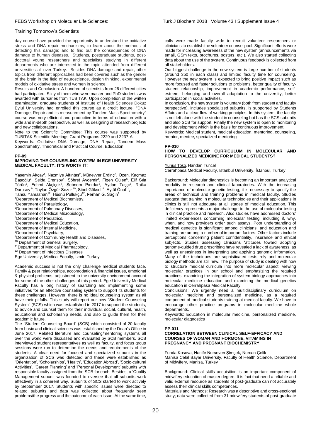day course have provided the opportunity to understand the oxidative stress and DNA repair mechanisms; to learn about the methods of detecting this damage; and to find out the consequences of DNA damage to human diseases. Students, postgraduate students, postdoctoral young researchers and specialists studying in different departments who are interested in the topic attended from different universities all over Turkey. Besides DNA damage and repair, other topics from different approaches had been covered such as the gender of the brain in the field of neuroscience, design thinking, experimental models of oxidative stress and women in science.

Results and Conclusion: A hundred of scientists from 26 different cities had participated. Sixty of them who were master and PhD students was awarded with bursaries from TUBITAK. Upon completion of the written examination, graduate students of Institute of Health Sciences Dokuz Eylul University had enrolled this course as a credit lecture. "DNA Damage, Repair and its measurement by Tandem Mass Spectrometry" course was very efficient and productive in terms of education with a wide and in-depth perspective, as well as designing of research projects and new collaborations.

Note to the Scientific Committee: This course was supported by TUBITAK Scientific Meetings Grant Programs 2229 and 2237-A.

Keywords: Oxidative DNA Damage, DNA Repair, Tandem Mass Spectrometry, Theoretical and Practical Course, Education

#### **PP-09**

#### **IMPROVING THE COUNSELING SYSTEM IN EGE UNIVERSITY MEDICAL FACULTY: IT'S WORTH IT!**

<u>Yasemin Akçay<sup>1</sup>,</u> Nazmiye Altıntaş<sup>2</sup>, Münevver Erdinç<sup>3</sup>, Özen. Kaçmaz Başoğlu<sup>3</sup>, Selda Erensoy<sup>4</sup>, Şöhret Aydemir<sup>4</sup>, Figen Gülen<sup>5</sup>, Elif Sıla Törün<sup>6</sup>, Fehmi Akçiçek<sup>7</sup>, Şebnem Pırıldar<sup>8</sup>, Aydan Taşçı<sup>8</sup>, Raika Durusoy<sup>9</sup>, Taylan Özgür Sezer<sup>10</sup>, Sibel Göksel<sup>11</sup>, Aytül Önal<sup>11</sup>, Tansu Yamazhan<sup>12</sup>, Hüsnü Pullukçu<sup>12</sup>, Ferhan G. Sağın<sup>1</sup> <sup>1</sup>Department of Medical Biochemistry, <sup>2</sup>Department of Parasitology, <sup>3</sup>Department of Pulmonary Diseases, <sup>4</sup>Department of Medical Microbiology, <sup>5</sup>Department of Pediatrics, <sup>6</sup>Department of Medical Education, <sup>7</sup>Department of Internal Medicine, <sup>8</sup>Department of Psychiatry, <sup>9</sup>Department of Community Health and Diseases, <sup>10</sup> Department of General Surgery,

<sup>11</sup>Department of Medical Pharmacology,

<sup>12</sup> Department of Infectious Diseases

Ege University, Medical Faculty, İzmir, Turkey

Academic success is not the only challenge medical students face. Family & peer relationships, accomodation & financial issues, emotional & physical problems, adjustment to the university environment account for some of the other challenges of this period. Ege University Medical Faculty has a long history of searching and implementing some initiatives for an effective counseling system to support its students for these challenges. However, there is no ideal counseling system as all have their pitfalls. This study will report our new "Student Counseling System" (SCS) which was established in 2017 to support the students, to advice and counsel them for their individual, social, cultural, health, educational and scholarship needs, and also to guide them for their academic future.

The "Student Counseling Board" (SCB) which consisted of 20 faculty from basic and clinical sciences was established by the Dean's Office in June 2017. Related literature and counseling/mentoring systems all over the world were discussed and evaluated by SCB members. SCB interviewed student representatives as well as faculty, and focus group sessions were run to determine the needs and requirements of the students. A clear need for focused and specialized subunits in the organization of SCS was detected and these were established as 'Orientation', 'Scholarships', 'Health', 'Education Abroad', 'Socio-cultural Activities', 'Career Planning' and 'Personal Development' subunits with responsible faculty assigned from the SCB for each. Besides, a 'Quality Management subunit was founded to oversee that all subunits work effectively in a coherent way. Subunits of SCS started to work actively by September 2017. Students with specific issues were directed to related subunits and data was collected about frequently seen problems/the progress and the outcome of each issue. At the same time,

calls were made faculty wide to recruit volunteer researchers or clinicians to establish the volunteer counsel pool. Significant efforts were made for increasing awareness of the new system (announcements via email, GSm texts, brochures, posters, etc.). We also started collecting data about the use of the system. Continuous feedback is collected from all stakeholders.

Our biggest challenge in the new system is large number of students (around 350 in each class) and limited faculty time for counseling. However the new system is expected to bring positive impact such as more focused and faster solutions to problems, better quality of facultystudent relationship, improvement in academic performance, selfesteem, belonging and overall adaptation to the university, better participation in social activities.

In conclusion, the new system is voluntary (both from student and faculty perspective), includes specialized subunits, is supported by Students Affairs and a clear flow of working principles. In this system, the faculty is not left alone with the student in counseling but has the SCS subunits and also SCB for support. Finally the new system is open to monitoring and development which is the basis for continuous improvement.

Keywords: Medical student, medical education, mentoring, counseling, mentor, mentee, specialized mentoring

#### **PP-010**

#### **HOW TO DEVELOP CURRICULUM IN MOLECULAR AND PERSONALIZED MEDICINE FOR MEDICAL STUDENTS?**

#### Yunus Toso, Handan Tuncel

Cerrahpasa Medical Faculty, Istanbul University, İstanbul, Turkey

Background: Molecular diagnostics is becoming an important analytical modality in research and clinical laboratories. With the increasing importance of molecular genetic testing, it is necessary to specify the areas of technical and training problems in medical faculty. Studies suggest that training in molecular technologies and their applications in clinics is still not adequate at all stages of medical education. This deficiency represents a major challenge to the use of molecular testing in clinical practice and research. Also studies have addressed doctors' limited experiences concerning molecular testing, including if, why, when, and how providers order such assays. Poor understanding of medical genetics is significant among clinicians, and education and training are among a number of important factors. Other factors include perceptions concerning patient confidentiality, insurance and ethical subjects. Studies assessing clinicians 'attitudes toward adopting genome-guided drug prescribing have revealed a lack of awareness, as well as uneasiness in interpreting and applying genomic information. Many of the techniques are sophisticated tests rely and molecular biology methods are still new. The purpose of study is dealing with how to structure medical curricula into more molecular aspect, viewing molecular practices in our school and emphasizing the required practices, examining the integration of system biology approaches into molecular medicine education and examining the medical genetics education in Cerrahpasa Medical Faculty.

Conclusions: We urgently need a multidisciplinary curriculum on molecular medicine and personalized medicine, as a required component of medical students training at medical faculty. We have to encourage other practice programs in molecular medicine whole departments.

Keywords: Education in molecular medicine, personalized medicine, molecular diagnostics

#### **PP-011**

#### **CORRELATION BETWEEN CLINICAL SELF-EFFICACY AND COURSES OF WOMAN AND HORMONE, VITAMINS IN PREGNANCY AND PREGNANT BIOCHEMISTRY**

Funda Kosova, Hanife Nurseven Şimşek, Nurcan Çelik Manisa Celal Bayar University, Faculty of Health Science, Department of Midwifery, Manisa, Turkey

Background: Clinical skills acquisition is an important component of midwifery education of master degree. It is fact that need a reliable and valid external resource as students of post-graduate can not accurately assess their clinical skills competences.

Materials and Methods: Research was a descriptive and cross-sectional study; data were collected from 31 midwifery students of post-graduate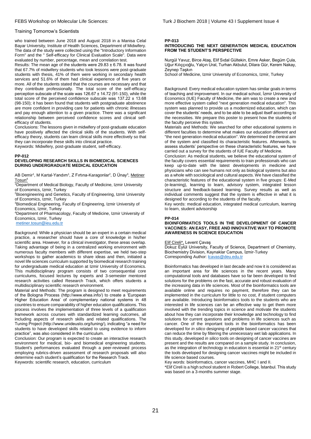who trained between June 2018 and August 2018 in a Manisa Celal Bayar University, Institute of Health Sciences, Department of Midwifery. The data of the study were collected using the "Introductory Information Form" and the " Self-efficacy for Clinical Evaluation Scale". Data were evaluated by number, percentage, mean and correlation test.

Results: The mean age of the students were 29.83 ± 6.78. It was found that 67.7% of midwifery students who took lessons were post-graduate students with thesis, 41% of them were working in secondary health services and 51.6% of them had clinical experience of five years or more. All of the students stated that the courses are necessary and that they contribute professionally. The total score of the self-efficacy perception subscale of the scale was 126.67 ± 14.72 (91-150), while the total score of the perceived confidence subscale was  $137.22 \pm 13.68$ (98-150); it has been found that students with postgraduate abstinence are more confident in providing care for patients with chronic illnesses and pay enough attention to a given practice. There was a significant relationship between perceived confidence scores and clinical selfefficacy of students.

Conclusions: The lessons given in midwifery of post-graduate education have positively affected the clinical skills of the students. With selfefficacy theory, students can learn clinical skills more effectively so that they can incorporate these skills into clinical practice.

Keywords: Midwifery, post-graduate student, self-efficacy.

#### **PP-012**

#### **DEVELOPING RESEARCH SKILLS IN BIOMEDICAL SCIENCES DURING UNDERGRADUATE MEDICAL EDUCATION**

AB Demir<sup>1</sup>, M Kartal-Yandım<sup>1</sup>, Z Fırtına-Karagonlar<sup>2</sup>, D Ünay<sup>3</sup>, Metiner Tosun<sup>4</sup>

1Department of Medical Biology, Faculty of Medicine, Izmir University of Economics, Izmir, Turkey

<sup>2</sup>Bioengineering and Genetics, Faculty of Engineering, Izmir University of Economics, Izmir, Turkey

<sup>3</sup>Biomedical Engineering, Faculty of Engineering, Izmir University of Economics, Izmir, Turkey

<sup>4</sup>Department of Pharmacology, Faculty of Medicine, Izmir University of Economics, Izmir, Turkey

[metiner.tosun@ieu.edu.tr](mailto:metiner.tosun@ieu.edu.tr)

Background: While a physician should be an expert in a certain medical practice, a researcher should have a core of knowledge in his/her scientific area. However, for a clinical investigator, these areas overlap. Taking advantage of being in a centralized working environment with numerous faculty members with different expertise, we held two-step workshops to gather academics to share ideas and then, initiated a novel life sciences curriculum supported by biomedical research training for undergraduate medical education at Izmir University of Economics. This multidisciplinary program consists of two consequential core curriculums, focused lectures by experts and 3-semester mentored research activities called Research Track, which offers students a multidisciplinary scientific research environment.

Material and Methods: The program is designed to meet requirements of the Bologna Process (http://www.ehea.info/) to create a 'European Higher Education Area' of complementary national systems in 48 countries to ensure comparability of higher education qualifications. This process involves the implementation of three levels of a qualification framework across courses with standardized learning outcomes, all including aspects of research skills and related qualifications. The Tuning Project (http://www.unideusto.org/tuning/), indicating "a need for students to have developed skills related to using evidence to inform practice", was also considered in the curriculum.

Conclusion: Our program is expected to create an interactive research environment for medical, bio- and biomedical engineering students. Student's performances evaluated through a peer-reviewed process employing rubrics-driven assessment of research proposals will also determine each student's qualification for the Research Track. Keywords: scientific research, education, curriculum

#### **PP-013**

#### **INTRODUCING THE NEXT GENERATION MEDICAL EDUCATION FROM THE STUDENT'S PERSPECTIVE**

Nurgül Yavuz, Birce Ataş, Elif Sıdal Gültekin, Emre Asker, Begüm Çula, Uğur Kılıççıoğlu, Yalçın Ural, Turhan Akbulut, Dilara Gür, Kerem Nakay, Zeynep Taşkın

School of Medicine, Izmir University of Economics, Izmir, Turkey

Background: Every medical education system has similar goals in terms of teaching and improvement. In our medical school, İzmir University of Economics (IUE) Faculty of Medicine, the aim was to create a new and more effective system called "next generation medical education". This system was planned to provide us a modernized education, which can cover the students' needs, and to be able to be adjust itself according to the necessities. We prepare this poster to present how the students of the faculty perceive this system.

Materials and Methods: We searched for other educational systems in different faculties to determine what makes our education different and "the next generation medical education". We determined the central aim of the system and classified its characteristic features. Afterwards, to assess students' perspective on these characteristic features, we have carried out a survey for the students of IUE Faculty of Medicine.

Conclusion: As medical students, we believe the educational system of the faculty covers essential requirements to train professionals who can keep up-to-date with the latest developments in medicine and physicians who can see humans not only as biological systems but also as a whole with sociological and cultural aspects. We have classified the characteristic features of the educational system in five groups: E-Med (e-learning), learning to learn, advisory system, integrated lesson structure and feedback-based learning. Survey results as well as individual comments suggest that the system is effective in what it is designed for according to the students of the faculty.

Key words: medical education, integrated medical curriculum, learning to learn, student advisorship

#### **PP-014**

#### **BIOINFORMATICS TOOLS IN THE DEVELOPMENT OF CANCER VACCINES: AN EASY, FREE AND INNOVATIVE WAY TO PROMOTE AWARENESS IN SCIENCE EDUCATION**

#### Elif Cireli\*, Levent Çavaş

Dokuz Eylül University, Faculty of Science, Department of Chemistry, Biochemistry Division, Kaynaklar Campus, İzmir-Turkey Corresponding Author: [lcavas@deu.edu.tr](mailto:lcavas@deu.edu.tr)

Bioinformatics has developed in last decade and now it is considered as an important area for life sciences in the recent years. Many computational tools and databases have so far been developed to find solutions for the problems on the fast, accurate and robust evaluation of the increasing data in life sciences. Most of the bioinformatics tools are available online and requires no payment, therefore they can be implemented in the curriculum for little to no cost, if student computers are available. Introducing bioinformatics tools to the students who are interested in life sciences can be an effective way to get them more involved with the trending topics in science and motivate the students about how they can incorporate their knowledge and technology to find solutions for current questions and problems in life sciences such as cancer. One of the important tools in the bioinformatics has been developed for *in silico* designing of peptide based cancer vaccines that can reduce the time by filtering the unnecessary wet lab applications. In this study, developed *in silico* tools on designing of cancer vaccines are present and the results are compared on a sample study. In conclusion, as the integration of technology in education is essential in 21<sup>st</sup> century the tools developed for designing cancer vaccines might be included in life science based courses.

Key words: bioinformatics, cancer vaccines, MHC I and II.

\*Elif Cireli is a high school student in Robert College, İstanbul. This study was based on a 3-months summer stage.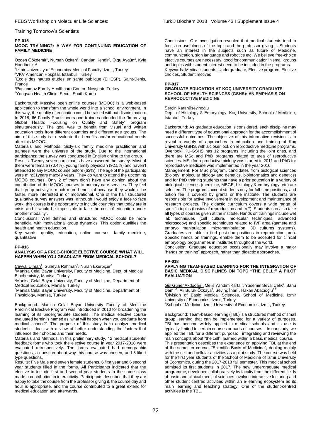#### **PP-015**

#### **MOOC TRAINING?: A WAY FOR CONTINUING EDUCATION OF FAMILY MEDICINE**

<u>Özden Gökdemir<sup>1</sup>, </u>Nurşah Özkan<sup>2</sup>, Candan Kendir<sup>3</sup>, Olgu Aygün<sup>4</sup>, Kyle Hoedbocke<sup>5</sup>

<sup>1</sup>Izmir University of Economics-Medical Faculty, Izmir, Turkey

<sup>2</sup>VKV American Hospital, Istanbul, Turkey

<sup>3</sup>Ecole des hautes etudes en sante publique (EHESP), Saint-Denis, France

<sup>4</sup>Paslanmaz Family Healthcare Center, Nevşehir, Turkey

<sup>5</sup>Yongsan Health Clinic, Seoul, South Korea

Background: Massive open online courses (MOOC) is a web-based application to transform the whole world into a school environment. In this way, the quality of education could be raised without discrimination. In 2018, 66 Family Practitioners and trainees attended the "Improving Global Health: Focusing on Quality and Safety" program simultaneously. The goal was to benefit from visual and written education tools from different countries and different age groups. The aim of this study is to evaluate the benefits and/or educational needs after this MOOC.

Materials and Methods: Sixty-six family medicine practitioner and trainees were the universe of the study. Due to the international participants; the survey was conducted in English online to the group.

Results: Twenty-seven participants have answered the survey. Most of them were female (70.4%), young family physician (92.5%) and haven't attended to any MOOC course before (63%). The age of the participants were min:31years max:49 years. They do want to attend the upcoming MOOC courses. Only 2 of them didn't have any opinion about the contribution of the MOOC courses to primary care services. They feel that group activity is much more beneficial because they wouldn't be faster, more interested in or motivational. One of the half structured qualitative survey answers was "although I would enjoy a face to face work, this course is the opportunity to include countries that today are in crisis and it would be impossible to face the cost of education under another modality".

Conclusions: Well defined and structured MOOC could be more beneficial with motivational group dynamics. This option qualifies the health and health education.

Key words: quality, education, online courses, family medicine, quantitative

#### **PP-016**

#### **ANALYSIS OF A FREE-CHOICE ELECTIVE COURSE 'WHAT WILL HAPPEN WHEN YOU GRADUATE FROM MEDICAL SCHOOL?'**

Cevval Ulman<sup>1</sup>, Suheyla Rahman<sup>2</sup>, Nuran Ekerbiçer<sup>3</sup>

**TELL CONSUMING**, CONSUMING THE CONSUMING THE PROTHER THANGED IN THE TRANSLER THANGED IN Medical Biochemistry, Manisa, Turkey

<sup>2</sup>Manisa Celal Bayar University, Faculty of Medicine, Department of Medical Education, Manisa, Turkey

<sup>3</sup>Manisa Celal Bayar University. Faculty of Medicine, Department of Physiology, Manisa, Turkey

Background: Manisa Celal Bayar University Faculty of Medicine Preclinical Elective Program was introduced in 2010 for broadening the learning of its undergraduate students. The medical elective course evaluated herein is named as 'what will happen when you graduate from medical school?'. The purpose of this study is to analyze medical student's ideas with a view of better understanding the factors that influence their choices and their needs.

Materials and Methods: In this preliminary study, 12 medical students' feedback forms who took the elective course in year 2017-2018 were evaluated retrospectively. The forms evaluated had demographic questions, a question about why this course was chosen, and 5 likert type questions.

Results: Five Male and seven female students, 6 first year and 6 second year students filled in the forms. All Participants indicated that the elective to include first and second year students in the same class made a contribution in interactivity. Participants described that they are happy to take the course from the professor giving it, the course day and hour is appropriate, and the course contributed to a great extend for medical education and afterwards.

Conclusions: Our investigation revealed that medical students tend to focus on usefulness of the topic and the professor giving it. Students have an interest in the subjects such as future of Medicine, communication, sign language and robotics etc. We believe free-choice elective courses are necessary, good for communication in small groups and topics with student interest need to be included in the programs. Keywords: Medical students, Undergraduate, Elective program, Elective choices, Student motives

#### **PP-017**

#### **GRADUATE EDUCATION AT KOÇ UNIVERSITY GRADUATE SCHOOL OF HEALTH SCIENCES (GSHS): AN EMPHASIS ON REPRODUCTIVE MEDICINE**

#### Serçin Karahüseyinoğlu

Dept. of Histology & Embryology, Koc University, School of Medicine, Istanbul, Turkey

Background: As graduate education is considered, each discipline may need a different type of educational approach for the accomplishment of successful outcomes. The objective of this informative revision is to reveal a variety of approaches in education and training at Koç University GSHS, with a closer look on reproductive medicine programs. Overlook: KU-GSHS has 12 programs, including the joint ones, and there are MSc and PhD programs related to area of reproductive sciences. MSc for reproductive biology was started in 2011 and PhD for reproductive medicine was implemented in the year 2016.

Management: For MSc program, candidates from biological sciences (biology, molecular biology and genetics, bioinformatics and genetics) and for PhD training students that have a prior education in a variety of biological sciences (medicine, MBGE, histology & embryology, etc) are selected. The programs accept students only for full-time positions, and tuition fee is covered by grants or the institute. The students are responsible for active involvement in development and maintenance of research projects. The didactic curriculum covers a wide range of specific topics (basics of reproduction and IVF). Students can also take all types of courses given at the institute. Hands on trainings include wet lab techniques (cell culture, molecular techniques, advanced microscopy) and specific techniques related to IVF area (gamete and embryo manipulation, micromanipulation, 3D cultures systems). Graduates are able to find post-doc positions in reproduction area. Specific hands on trainings, enable them to be accepted for clinical embryology programmes in institutes throughout the world.

Conclusion: Graduate education occasionally may involve a major "hands on training" approach, rather than didactic approaches.

#### **PP-018**

#### **APPLYING TEAM-BASED LEARNING FOR THE INTEGRATION OF BASIC MEDICAL DISCIPLINES ON TOPC "THE CELL:" A PILOT EVALUATION**

Gül Güner Akdoğan<sup>1</sup>, Melis Yandım Kartal<sup>1</sup>, Yasemin Seval Çelik<sup>1</sup>, Banu Demir<sup>1</sup>, Ali Burak Özkaya<sup>1</sup>, Sevinç İnan<sup>1</sup>, Hakan Abacıoğlu<sup>1,2</sup>

<sup>1</sup>Division of Basic Medical Sciences, School of Medicine, Izmir University of Economics, Izmir, Turkey

<sup>2</sup>School of Medicine, Izmir University of Economics, Izmir, Turkey

Background: Team-based learning (TBL) is a structured method of small group learning that can be implemented for a variety of purposes. TBL has become widely applied in medical schools and its use is typically limited to certain courses or parts of courses. In our study, we applied the TBL for a different purpose: integrating and reviewing the main concepts about "the cell", learned within a basic medical course.

This presentation describes the experience on applying TBL at the end of the semester course, "Scientific Basis of Medicine", dealing mainly with the cell and cellular activities as a pilot study. The course was held for the first year students of the School of Medicine of Izmir University of Economics, during the 2017-2018 fall semester. This medical school admitted its first students in 2017. The new undergraduate medical programme, developed collaboratively by faculty from the different fields of basic and clinical medical sciences involves interactive lecturing and other student centred activities within an e-learning ecosystem as its main learning and teaching strategy. One of the student-centred activities is the TBL.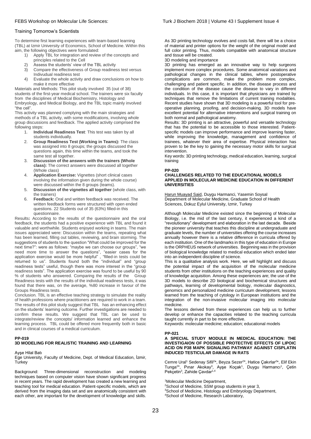To determine first learning experiences with team-based learning (TBL) at Izmir University of Economics, School of Medicine. Within this aim, the following objectives were formulated:

- 1) Apply TBL for integration and review of the concepts and principles related to the Cell
- 2) Assess the students' view of the TBL activity
- 3) Compare the effectiveness of Group readiness test versus Indivudual readiness test
- 4) Evaluate the whole activity and draw conclusions on how to make it more effective

Materials and Methods: This pilot study involved 35 (out of 38) students of the first-year medical school. The trainers were six faculty from the disciplines of Medical Biochemistry, Histology and Embryology, and Medical Biology, and the TBL topic mainly involved "the cell".

This activity was planned complying with the main strategies and methods of a TBL activity, with some modifications, involving whole group discussions and feedback. The applied activity comprised the following steps:

- 1. **Individual Readiness Test**: This test was taken by all students individually.
- 2. **Group Readiness Test (Working in Teams):** The class was assigned into 8 groups; the groups discussed the questions again, this time within the teams, and took the same test all together.
- 3. **Discussion of the answers with the trainers (Whole class):** The correct answers were discussed all together (Whole class)
- 4. **Application Exercise:** Vignettes (short clinical cases involving the information given during the whole course) were discussed within the 8 groups (teams).
- 5. **Discussion of the vignettes all together** (whole class, with the trainers)
- 6. **Feedback:** Oral and written feedback was received. The written feedback forms were structured with open ended questions. 22 Students out of 35 (63%) filled-in this questionnaire.

Results**:** According to the results of the questionnaire and the oral feedback, the students had a positive experience with TBL and found it valuable and worthwhile. Students enjoyed working in teams. The main issues appreciated were: Discussion within the teams, repeating what has been learned, filling out tables, reviewing, and brain storming. The suggestions of students to the question "What could be improved for the next time?": were as follows: "maybe we can choose our groups", "we need more time to answer the questions", "easier cases for the application exercise would be more helpful" , "filled-in tests could be returned to us". Students found both the "individual" and "group readiness tests" useful, though there was more interest in the "group readiness tests". The application exercise was found to be useful by 90 % of students who answered. Comparing the results of the Group Readiness tests with the results of the individual readiness tests, it was found that there was, on the average, %80 increase in favour of the Groups Readiness tests.

Conclusion. TBL is an effective teaching strategy to simulate the reality of health professions where practitioners are required to work in a team. The results of this pilot study suggest that TBL has an enhancing effect on the students' learning outcome. Further investigations are needed to confirm these results. We suggest that TBL can be used to integrate/review the concepts/ information learned and enhance the learning process. TBL could be offered more frequently both in basic and in clinical courses of a medical curriculum.

#### **PP-019**

#### **3D MODELING FOR REALISTIC TRAINING AND LEARNING**

#### Ayşe Hilal Batı

Ege University, Faculty of Medicine, Dept. of Medical Education, İzmir, **Turkey** 

Background: Three-dimensional reconstruction and modeling techniques based on computer vision have shown significant progress in recent years. The rapid development has created a new learning and teaching tool for medical education. Patient-specific models, which are derived from the imaging data set and are anatomically consistent with each other, are important for the development of knowledge and skills.

As 3D printing technology evolves and costs fall, there will be a choice of material and printer options for the weight of the original model and full color printing. Thus, models compatible with anatomical structure and tissue will be created.

3D modeling and importance

3D printing has emerged as an innovative way to help surgeons implement more complex procedures. Some anatomical variations and pathological changes in the clinical tables, where postoperative complications are common, make the problem more complex, challenging and patient specific. In addition, the disease process and the condition of the disease cause the disease to vary in different individuals. In this case, it is important that physicians are trained by techniques that remove the limitations of current training modalities. Recent studies have shown that 3D modeling is a powerful tool for preoperative planning, proofing, and decision-making. 3D models have excellent potential for alternative interventions and surgical training on both normal and pathological anatomy.

Results: 3D printing is an attractive, powerful and versatile technology that has the potential to be accessible to those interested. Patientspecific models can improve performance and improve learning faster, while improving the knowledge, management and confidence of trainees, whatever their area of expertise. Physical interaction has proven to be the key to gaining the necessary motor skills for surgical intervention.

Key words: 3D printing technology, medical education, learning, surgical training

#### **PP-020**

#### **CHALLENGES RELATED TO THE EDUCATIONAL MODELS APPLIED IN MOLECULAR MEDICINE EDUCATION IN DIFFERENT UNIVERSITIES**

Harun Muayad Said, Duygu Harmanci, Yasemin Soysal Department of Molecular Medicine, Graduate School of Health Sciences, Dokuz Eylul University, Izmir, Turkey

Although Molecular Medicine existed since the beginning of Molecular Biology, i.e. the mid of the last century, it experienced a kind of a "revolutionary" development and elaboration in the last decade. Beside the pioneer university that teaches this discipline at undergraduate and graduate levels, the number of universities offering the course increases annually however there is a relative difference in curricula offered by each institution. One of the landmarks in this type of education in Europe is the ORPHEUS network of universities. Beginning was in the provision of biological knowledge related to medical education which ended later into an independent discipline of science.

This is a qualitative analysis work. Here, we will highlight and discuss the potential impact of the acquisition of the molecular medicine students from other institutions on the teaching experiences and quality of knowledge acquisition. Among these experiences are; the use of the 3D models to describe 2D biological and biochemical structures and pathways, learning of developmental biology, molecular diagnostics, genomics and personalized medicine curriculum development, lessons learned from the teaching of cytology in European institutions and the integration of the non-invasive molecular imaging into molecular medicine.

The lessons derived from these experiences can help us to further develop or enhance the capacities related to the teaching curricula taught currently in part to be more effective.

Keywords: molecular medicine; education; educational models

#### **PP-021**

#### **A SPECIAL STUDY MODULE IN MEDICAL EDUCATION: THE INVESTIGAION OF POSSIBLE PROTECTIVE EFFECTS OF LIPOIC ACID ON P38 MAPK SIGNALING PATHWAY AGAINST CISPLATIN INDUCED TESTICULAR DAMAGE IN RATS**

Cemre Ural<sup>1</sup> Sedenay Sifil<sup>2\*</sup>, Beyza Sezer<sup>2\*</sup>, Hatice Çakırlar<sup>2\*</sup>, Elif Ekin Tunga<sup>2\*</sup>, Pınar Akokay<sup>3</sup>, Ayşe Koçak<sup>1</sup>, Duygu Harmancı<sup>1</sup>, Çetin Pekçetin<sup>3</sup>, Zahide Çavdar<sup>1,4</sup>

<sup>1</sup>Molecular Medicine Department,

- <sup>2</sup>School of Medicine, SSM group students in year 3,
- <sup>3</sup>School of Medicine, Histology and Embryology Department,
- 4School of Medicine, Research Laboratory,